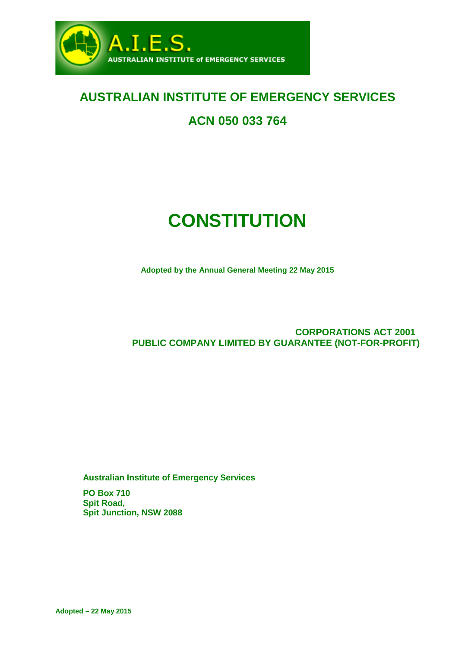

# **AUSTRALIAN INSTITUTE OF EMERGENCY SERVICES**

# **ACN 050 033 764**

# **CONSTITUTION**

**Adopted by the Annual General Meeting 22 May 2015**

**CORPORATIONS ACT 2001 PUBLIC COMPANY LIMITED BY GUARANTEE (NOT-FOR-PROFIT)**

**Australian Institute of Emergency Services**

**PO Box 710 Spit Road, Spit Junction, NSW 2088**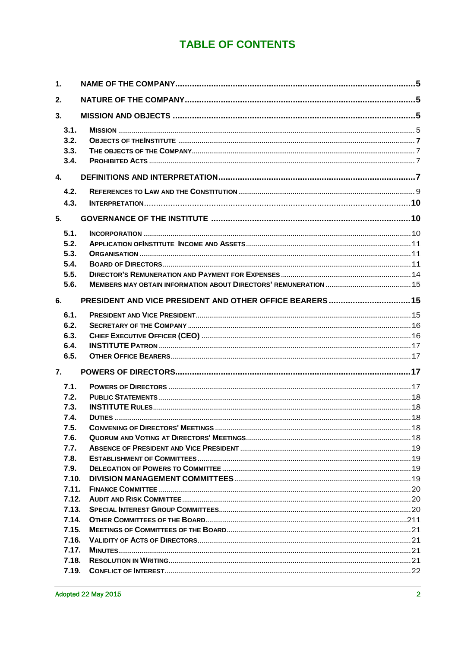# **TABLE OF CONTENTS**

| 1.    |                                                          |  |
|-------|----------------------------------------------------------|--|
| 2.    |                                                          |  |
| 3.    |                                                          |  |
| 3.1.  |                                                          |  |
| 3.2.  |                                                          |  |
| 3.3.  |                                                          |  |
| 3.4.  |                                                          |  |
| 4.    |                                                          |  |
| 4.2.  |                                                          |  |
| 4.3.  |                                                          |  |
| 5.    |                                                          |  |
| 5.1.  |                                                          |  |
| 5.2.  |                                                          |  |
| 5.3.  |                                                          |  |
| 5.4.  |                                                          |  |
| 5.5.  |                                                          |  |
| 5.6.  |                                                          |  |
| 6.    | PRESIDENT AND VICE PRESIDENT AND OTHER OFFICE BEARERS 15 |  |
| 6.1.  |                                                          |  |
| 6.2.  |                                                          |  |
| 6.3.  |                                                          |  |
| 6.4.  |                                                          |  |
| 6.5.  |                                                          |  |
| 7.    |                                                          |  |
| 7.1.  |                                                          |  |
| 7.2.  |                                                          |  |
| 7.3.  |                                                          |  |
| 7.4.  |                                                          |  |
| 7.5.  |                                                          |  |
| 7.6.  |                                                          |  |
| 7.7.  |                                                          |  |
| 7.8.  |                                                          |  |
| 7.9.  |                                                          |  |
| 7.10. |                                                          |  |
| 7.11. |                                                          |  |
| 7.12. |                                                          |  |
| 7.13. |                                                          |  |
| 7.14. |                                                          |  |
| 7.15. |                                                          |  |
| 7.16. |                                                          |  |
| 7.17. |                                                          |  |
| 7.18. |                                                          |  |
|       |                                                          |  |
|       |                                                          |  |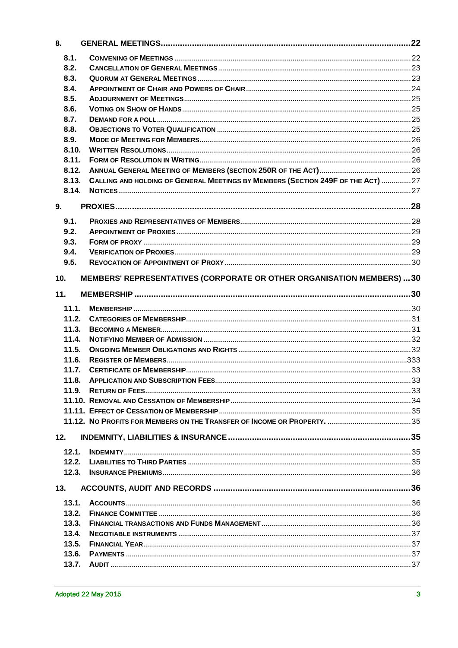| 8.    |                                                                                 |  |
|-------|---------------------------------------------------------------------------------|--|
| 8.1.  |                                                                                 |  |
| 8.2.  |                                                                                 |  |
| 8.3.  |                                                                                 |  |
| 8.4.  |                                                                                 |  |
| 8.5.  |                                                                                 |  |
| 8.6.  |                                                                                 |  |
| 8.7.  |                                                                                 |  |
| 8.8.  |                                                                                 |  |
| 8.9.  |                                                                                 |  |
| 8.10. |                                                                                 |  |
| 8.11. |                                                                                 |  |
| 8.12. |                                                                                 |  |
| 8.13. | CALLING AND HOLDING OF GENERAL MEETINGS BY MEMBERS (SECTION 249F OF THE ACT) 27 |  |
| 8.14. |                                                                                 |  |
| 9.    |                                                                                 |  |
| 9.1.  |                                                                                 |  |
| 9.2.  |                                                                                 |  |
| 9.3.  |                                                                                 |  |
| 9.4.  |                                                                                 |  |
| 9.5.  |                                                                                 |  |
| 10.   | MEMBERS' REPRESENTATIVES (CORPORATE OR OTHER ORGANISATION MEMBERS)  30          |  |
| 11.   |                                                                                 |  |
|       |                                                                                 |  |
| 11.1. |                                                                                 |  |
| 11.2. |                                                                                 |  |
| 11.3. |                                                                                 |  |
| 11.4. |                                                                                 |  |
| 11.5. |                                                                                 |  |
| 11.6. |                                                                                 |  |
| 11.7. |                                                                                 |  |
| 11.8. |                                                                                 |  |
| 11.9. |                                                                                 |  |
|       |                                                                                 |  |
|       |                                                                                 |  |
|       |                                                                                 |  |
| 12.   |                                                                                 |  |
| 12.1. |                                                                                 |  |
| 12.2. |                                                                                 |  |
| 12.3. |                                                                                 |  |
| 13.   |                                                                                 |  |
| 13.1. |                                                                                 |  |
| 13.2. |                                                                                 |  |
| 13.3. |                                                                                 |  |
| 13.4. |                                                                                 |  |
| 13.5. |                                                                                 |  |
| 13.6. |                                                                                 |  |
| 13.7. |                                                                                 |  |
|       |                                                                                 |  |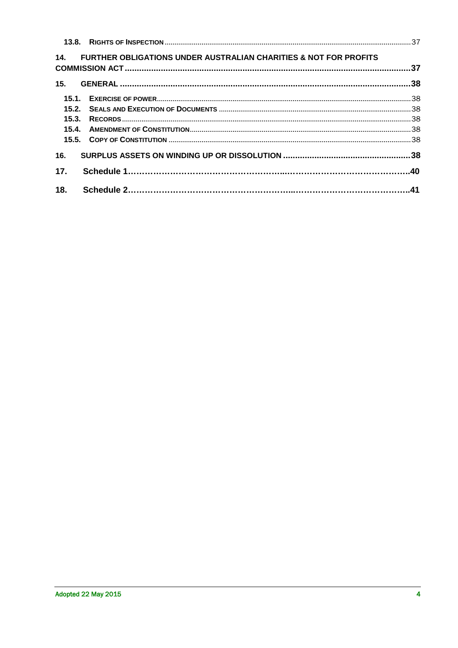|     | 14. FURTHER OBLIGATIONS UNDER AUSTRALIAN CHARITIES & NOT FOR PROFITS |  |
|-----|----------------------------------------------------------------------|--|
|     |                                                                      |  |
|     |                                                                      |  |
|     |                                                                      |  |
|     |                                                                      |  |
|     |                                                                      |  |
|     |                                                                      |  |
| 16. |                                                                      |  |
| 17. |                                                                      |  |
| 18. |                                                                      |  |
|     |                                                                      |  |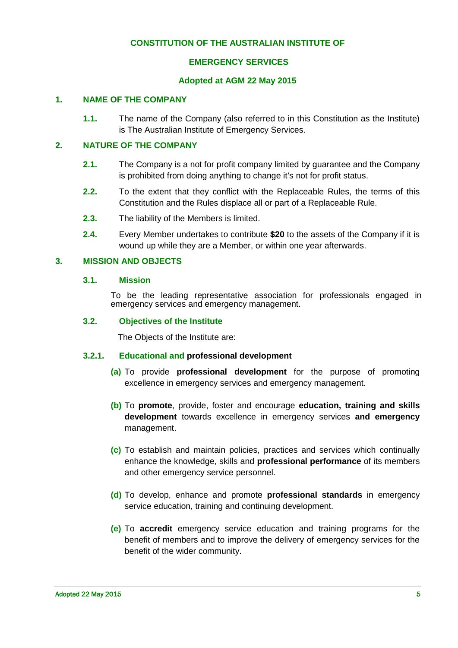## **CONSTITUTION OF THE AUSTRALIAN INSTITUTE OF**

#### **EMERGENCY SERVICES**

#### <span id="page-4-5"></span>**Adopted at AGM 22 May 2015**

#### <span id="page-4-0"></span>**1. NAME OF THE COMPANY**

**1.1.** The name of the Company (also referred to in this Constitution as the Institute) is The Australian Institute of Emergency Services.

#### <span id="page-4-1"></span>**2. NATURE OF THE COMPANY**

- **2.1.** The Company is a not for profit company limited by guarantee and the Company is prohibited from doing anything to change it's not for profit status.
- **2.2.** To the extent that they conflict with the Replaceable Rules, the terms of this Constitution and the Rules displace all or part of a Replaceable Rule.
- **2.3.** The liability of the Members is limited.
- **2.4.** Every Member undertakes to contribute **\$20** to the assets of the Company if it is wound up while they are a Member, or within one year afterwards.

#### <span id="page-4-3"></span><span id="page-4-2"></span>**3. MISSION AND OBJECTS**

#### <span id="page-4-4"></span>**3.1. Mission**

To be the leading representative association for professionals engaged in emergency services and emergency management.

#### **3.2. Objectives of the Institute**

The Objects of the Institute are:

#### **3.2.1. Educational and professional development**

- **(a)** To provide **professional development** for the purpose of promoting excellence in emergency services and emergency management.
- **(b)** To **promote**, provide, foster and encourage **education, training and skills development** towards excellence in emergency services **and emergency**  management.
- **(c)** To establish and maintain policies, practices and services which continually enhance the knowledge, skills and **professional performance** of its members and other emergency service personnel.
- **(d)** To develop, enhance and promote **professional standards** in emergency service education, training and continuing development.
- **(e)** To **accredit** emergency service education and training programs for the benefit of members and to improve the delivery of emergency services for the benefit of the wider community.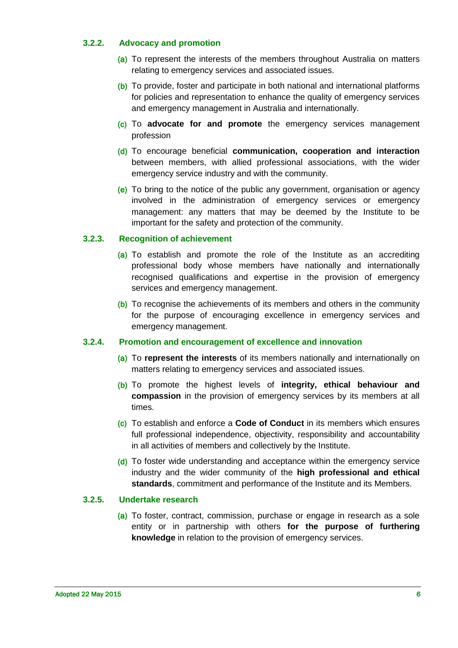#### **3.2.2. Advocacy and promotion**

- (a) To represent the interests of the members throughout Australia on matters relating to emergency services and associated issues.
- (b) To provide, foster and participate in both national and international platforms for policies and representation to enhance the quality of emergency services and emergency management in Australia and internationally.
- (c) To **advocate for and promote** the emergency services management profession
- (d) To encourage beneficial **communication, cooperation and interaction** between members, with allied professional associations, with the wider emergency service industry and with the community.
- (e) To bring to the notice of the public any government, organisation or agency involved in the administration of emergency services or emergency management: any matters that may be deemed by the Institute to be important for the safety and protection of the community.

# **3.2.3. Recognition of achievement**

- (a) To establish and promote the role of the Institute as an accrediting professional body whose members have nationally and internationally recognised qualifications and expertise in the provision of emergency services and emergency management.
- (b) To recognise the achievements of its members and others in the community for the purpose of encouraging excellence in emergency services and emergency management.

#### **3.2.4. Promotion and encouragement of excellence and innovation**

- (a) To **represent the interests** of its members nationally and internationally on matters relating to emergency services and associated issues.
- (b) To promote the highest levels of **integrity, ethical behaviour and compassion** in the provision of emergency services by its members at all times.
- (c) To establish and enforce a **Code of Conduct** in its members which ensures full professional independence, objectivity, responsibility and accountability in all activities of members and collectively by the Institute.
- (d) To foster wide understanding and acceptance within the emergency service industry and the wider community of the **high professional and ethical standards**, commitment and performance of the Institute and its Members.

#### **3.2.5. Undertake research**

(a) To foster, contract, commission, purchase or engage in research as a sole entity or in partnership with others **for the purpose of furthering knowledge** in relation to the provision of emergency services.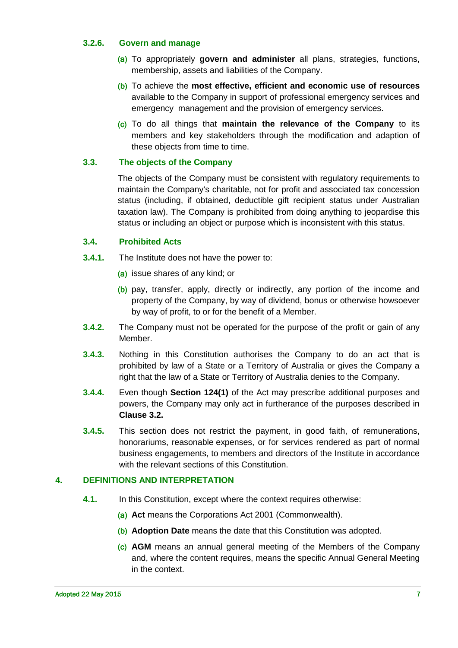#### **3.2.6. Govern and manage**

- (a) To appropriately **govern and administer** all plans, strategies, functions, membership, assets and liabilities of the Company.
- (b) To achieve the **most effective, efficient and economic use of resources** available to the Company in support of professional emergency services and emergency management and the provision of emergency services.
- (c) To do all things that **maintain the relevance of the Company** to its members and key stakeholders through the modification and adaption of these objects from time to time.

# <span id="page-6-0"></span>**3.3. The objects of the Company**

The objects of the Company must be consistent with regulatory requirements to maintain the Company's charitable, not for profit and associated tax concession status (including, if obtained, deductible gift recipient status under Australian taxation law). The Company is prohibited from doing anything to jeopardise this status or including an object or purpose which is inconsistent with this status.

#### <span id="page-6-1"></span>**3.4. Prohibited Acts**

- **3.4.1.** The Institute does not have the power to:
	- (a) issue shares of any kind; or
	- (b) pay, transfer, apply, directly or indirectly, any portion of the income and property of the Company, by way of dividend, bonus or otherwise howsoever by way of profit, to or for the benefit of a Member.
- **3.4.2.** The Company must not be operated for the purpose of the profit or gain of any Member.
- **3.4.3.** Nothing in this Constitution authorises the Company to do an act that is prohibited by law of a State or a Territory of Australia or gives the Company a right that the law of a State or Territory of Australia denies to the Company.
- **3.4.4.** Even though **Section 124(1)** of the Act may prescribe additional purposes and powers, the Company may only act in furtherance of the purposes described in **Clause [3.2.](#page-6-0)**
- **3.4.5.** This section does not restrict the payment, in good faith, of remunerations, honorariums, reasonable expenses, or for services rendered as part of normal business engagements, to members and directors of the Institute in accordance with the relevant sections of this Constitution.

#### <span id="page-6-2"></span>**4. DEFINITIONS AND INTERPRETATION**

- **4.1.** In this Constitution, except where the context requires otherwise:
	- (a) **Act** means the Corporations Act 2001 (Commonwealth).
	- (b) **Adoption Date** means the date that this Constitution was adopted.
	- (c) **AGM** means an annual general meeting of the Members of the Company and, where the content requires, means the specific Annual General Meeting in the context.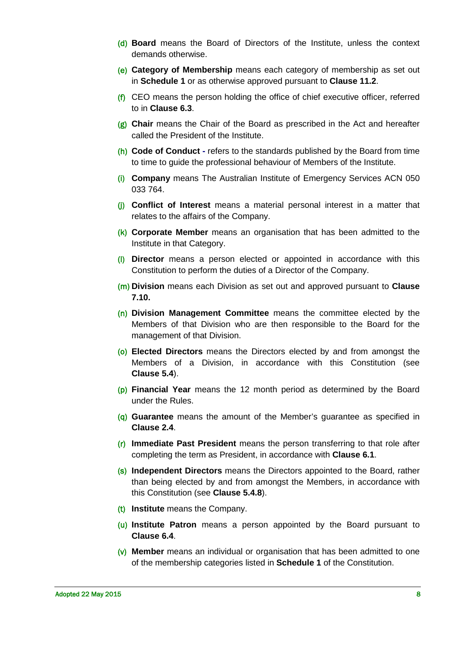- (d) **Board** means the Board of Directors of the Institute, unless the context demands otherwise.
- (e) **Category of Membership** means each category of membership as set out in **Schedule 1** or as otherwise approved pursuant to **Clause [11.2](#page-30-0)**.
- $(f)$  CEO means the person holding the office of chief executive officer, referred to in **Clause [6.3](#page-15-1)**.
- (g) **Chair** means the Chair of the Board as prescribed in the Act and hereafter called the President of the Institute.
- (h) **Code of Conduct -** refers to the standards published by the Board from time to time to guide the professional behaviour of Members of the Institute.
- (i) **Company** means The Australian Institute of Emergency Services ACN 050 033 764.
- (j) **Conflict of Interest** means a material personal interest in a matter that relates to the affairs of the Company.
- (k) **Corporate Member** means an organisation that has been admitted to the Institute in that Category.
- (l) **Director** means a person elected or appointed in accordance with this Constitution to perform the duties of a Director of the Company.
- (m) **Division** means each Division as set out and approved pursuant to **Clause [7.10.](#page-18-3)**
- (n) **Division Management Committee** means the committee elected by the Members of that Division who are then responsible to the Board for the management of that Division.
- (o) **Elected Directors** means the Directors elected by and from amongst the Members of a Division, in accordance with this Constitution (see **Clause [5.4](#page-10-2)**).
- (p) **Financial Year** means the 12 month period as determined by the Board under the Rules.
- (q) **Guarantee** means the amount of the Member's guarantee as specified in **Clause [2.4](#page-4-5)**.
- (r) **Immediate Past President** means the person transferring to that role after completing the term as President, in accordance with **Clause [6.1](#page-14-2)**.
- (s) **Independent Directors** means the Directors appointed to the Board, rather than being elected by and from amongst the Members, in accordance with this Constitution (see **Clause [5.4.8](#page-12-0)**).
- (t) **Institute** means the Company.
- (u) **Institute Patron** means a person appointed by the Board pursuant to **Clause [6.4](#page-16-0)**.
- (v) **Member** means an individual or organisation that has been admitted to one of the membership categories listed in **Schedule 1** of the Constitution.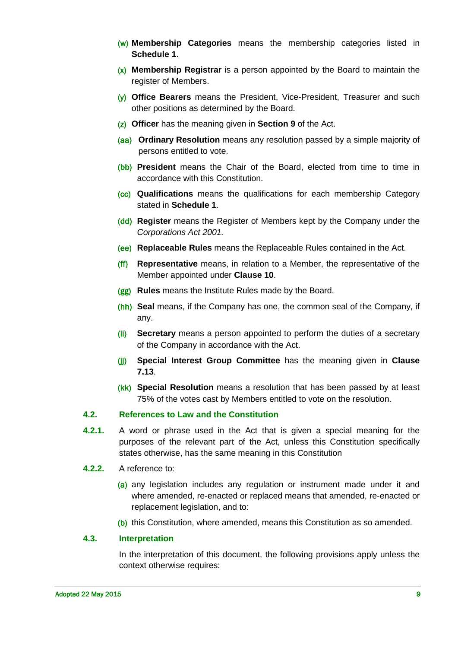- (w) **Membership Categories** means the membership categories listed in **Schedule 1**.
- (x) **Membership Registrar** is a person appointed by the Board to maintain the register of Members.
- (y) **Office Bearers** means the President, Vice-President, Treasurer and such other positions as determined by the Board.
- (z) **Officer** has the meaning given in **Section 9** of the Act.
- (aa) **Ordinary Resolution** means any resolution passed by a simple majority of persons entitled to vote.
- (bb) **President** means the Chair of the Board, elected from time to time in accordance with this Constitution.
- (cc) **Qualifications** means the qualifications for each membership Category stated in **Schedule 1**.
- (dd) **Register** means the Register of Members kept by the Company under the *Corporations Act 2001.*
- (ee) **Replaceable Rules** means the Replaceable Rules contained in the Act.
- (ff) **Representative** means, in relation to a Member, the representative of the Member appointed under **Clause [10](#page-29-1)**.
- (gg) **Rules** means the Institute Rules made by the Board.
- (hh) **Seal** means, if the Company has one, the common seal of the Company, if any.
- (ii) **Secretary** means a person appointed to perform the duties of a secretary of the Company in accordance with the Act.
- (jj) **Special Interest Group Committee** has the meaning given in **Clause [7.13](#page-19-2)**.
- (kk) **Special Resolution** means a resolution that has been passed by at least 75% of the votes cast by Members entitled to vote on the resolution.

#### <span id="page-8-0"></span>**4.2. References to Law and the Constitution**

- **4.2.1.** A word or phrase used in the Act that is given a special meaning for the purposes of the relevant part of the Act, unless this Constitution specifically states otherwise, has the same meaning in this Constitution
- **4.2.2.** A reference to:
	- (a) any legislation includes any regulation or instrument made under it and where amended, re-enacted or replaced means that amended, re-enacted or replacement legislation, and to:
	- (b) this Constitution, where amended, means this Constitution as so amended.

#### <span id="page-8-1"></span>**4.3. Interpretation**

In the interpretation of this document, the following provisions apply unless the context otherwise requires: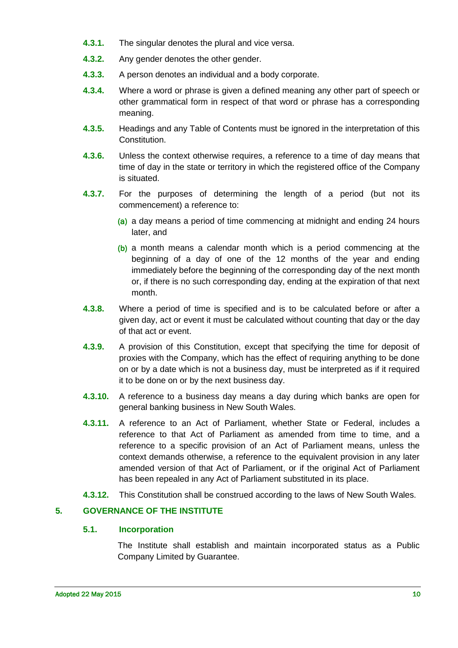- **4.3.1.** The singular denotes the plural and vice versa.
- **4.3.2.** Any gender denotes the other gender.
- **4.3.3.** A person denotes an individual and a body corporate.
- **4.3.4.** Where a word or phrase is given a defined meaning any other part of speech or other grammatical form in respect of that word or phrase has a corresponding meaning.
- **4.3.5.** Headings and any Table of Contents must be ignored in the interpretation of this Constitution.
- **4.3.6.** Unless the context otherwise requires, a reference to a time of day means that time of day in the state or territory in which the registered office of the Company is situated.
- **4.3.7.** For the purposes of determining the length of a period (but not its commencement) a reference to:
	- (a) a day means a period of time commencing at midnight and ending 24 hours later, and
	- (b) a month means a calendar month which is a period commencing at the beginning of a day of one of the 12 months of the year and ending immediately before the beginning of the corresponding day of the next month or, if there is no such corresponding day, ending at the expiration of that next month.
- **4.3.8.** Where a period of time is specified and is to be calculated before or after a given day, act or event it must be calculated without counting that day or the day of that act or event.
- **4.3.9.** A provision of this Constitution, except that specifying the time for deposit of proxies with the Company, which has the effect of requiring anything to be done on or by a date which is not a business day, must be interpreted as if it required it to be done on or by the next business day.
- **4.3.10.** A reference to a business day means a day during which banks are open for general banking business in New South Wales.
- **4.3.11.** A reference to an Act of Parliament, whether State or Federal, includes a reference to that Act of Parliament as amended from time to time, and a reference to a specific provision of an Act of Parliament means, unless the context demands otherwise, a reference to the equivalent provision in any later amended version of that Act of Parliament, or if the original Act of Parliament has been repealed in any Act of Parliament substituted in its place.
- **4.3.12.** This Constitution shall be construed according to the laws of New South Wales.

# <span id="page-9-1"></span><span id="page-9-0"></span>**5. GOVERNANCE OF THE INSTITUTE**

#### **5.1. Incorporation**

The Institute shall establish and maintain incorporated status as a Public Company Limited by Guarantee.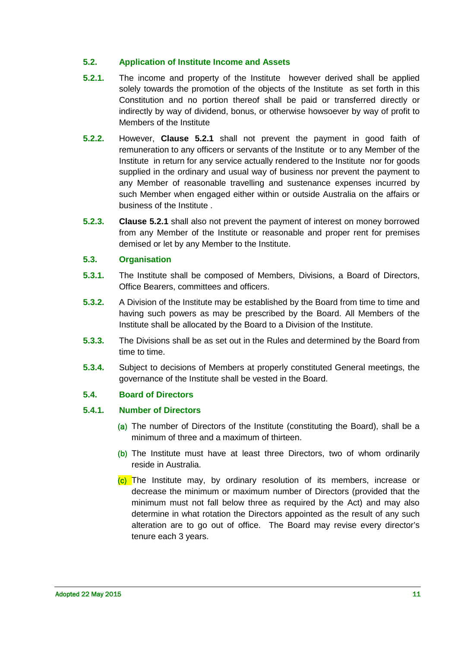### <span id="page-10-0"></span>**5.2. Application of Institute Income and Assets**

- <span id="page-10-3"></span>**5.2.1.** The income and property of the Institute however derived shall be applied solely towards the promotion of the objects of the Institute as set forth in this Constitution and no portion thereof shall be paid or transferred directly or indirectly by way of dividend, bonus, or otherwise howsoever by way of profit to Members of the Institute
- **5.2.2.** However, **Clause [5.2.1](#page-10-3)** shall not prevent the payment in good faith of remuneration to any officers or servants of the Institute or to any Member of the Institute in return for any service actually rendered to the Institute nor for goods supplied in the ordinary and usual way of business nor prevent the payment to any Member of reasonable travelling and sustenance expenses incurred by such Member when engaged either within or outside Australia on the affairs or business of the Institute .
- **5.2.3. Clause [5.2.1](#page-10-3)** shall also not prevent the payment of interest on money borrowed from any Member of the Institute or reasonable and proper rent for premises demised or let by any Member to the Institute.

#### <span id="page-10-1"></span>**5.3. Organisation**

- **5.3.1.** The Institute shall be composed of Members, Divisions, a Board of Directors, Office Bearers, committees and officers.
- **5.3.2.** A Division of the Institute may be established by the Board from time to time and having such powers as may be prescribed by the Board. All Members of the Institute shall be allocated by the Board to a Division of the Institute.
- **5.3.3.** The Divisions shall be as set out in the Rules and determined by the Board from time to time.
- **5.3.4.** Subject to decisions of Members at properly constituted General meetings, the governance of the Institute shall be vested in the Board.

# <span id="page-10-2"></span>**5.4. Board of Directors**

#### <span id="page-10-4"></span>**5.4.1. Number of Directors**

- (a) The number of Directors of the Institute (constituting the Board), shall be a minimum of three and a maximum of thirteen.
- (b) The Institute must have at least three Directors, two of whom ordinarily reside in Australia.
- (c) The Institute may, by ordinary resolution of its members, increase or decrease the minimum or maximum number of Directors (provided that the minimum must not fall below three as required by the Act) and may also determine in what rotation the Directors appointed as the result of any such alteration are to go out of office. The Board may revise every director's tenure each 3 years.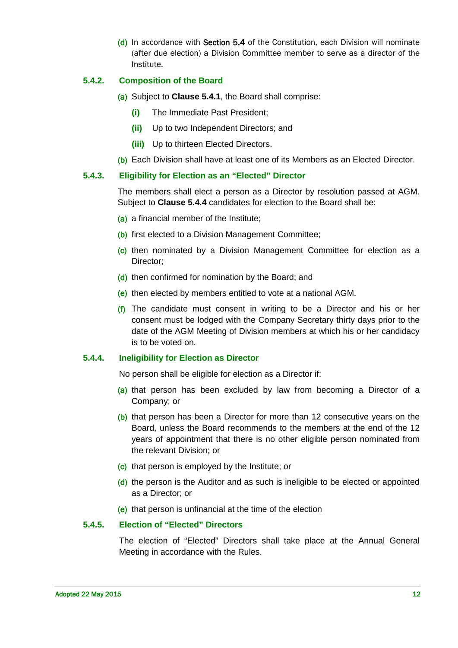(d) In accordance with Section 5.4 of the Constitution, each Division will nominate (after due election) a Division Committee member to serve as a director of the Institute.

#### <span id="page-11-1"></span>**5.4.2. Composition of the Board**

- (a) Subject to **Clause [5.4.1](#page-10-4)**, the Board shall comprise:
	- **(i)** The Immediate Past President;
	- **(ii)** Up to two Independent Directors; and
	- **(iii)** Up to thirteen Elected Directors.
- (b) Each Division shall have at least one of its Members as an Elected Director.

#### **5.4.3. Eligibility for Election as an "Elected" Director**

The members shall elect a person as a Director by resolution passed at AGM. Subject to **Clause [5.4.4](#page-11-0)** candidates for election to the Board shall be:

- (a) a financial member of the Institute;
- (b) first elected to a Division Management Committee;
- (c) then nominated by a Division Management Committee for election as a Director;
- (d) then confirmed for nomination by the Board; and
- (e) then elected by members entitled to vote at a national AGM.
- (f) The candidate must consent in writing to be a Director and his or her consent must be lodged with the Company Secretary thirty days prior to the date of the AGM Meeting of Division members at which his or her candidacy is to be voted on.

#### <span id="page-11-0"></span>**5.4.4. Ineligibility for Election as Director**

No person shall be eligible for election as a Director if:

- (a) that person has been excluded by law from becoming a Director of a Company; or
- (b) that person has been a Director for more than 12 consecutive years on the Board, unless the Board recommends to the members at the end of the 12 years of appointment that there is no other eligible person nominated from the relevant Division; or
- (c) that person is employed by the Institute; or
- (d) the person is the Auditor and as such is ineligible to be elected or appointed as a Director; or
- (e) that person is unfinancial at the time of the election

#### **5.4.5. Election of "Elected" Directors**

The election of "Elected" Directors shall take place at the Annual General Meeting in accordance with the Rules.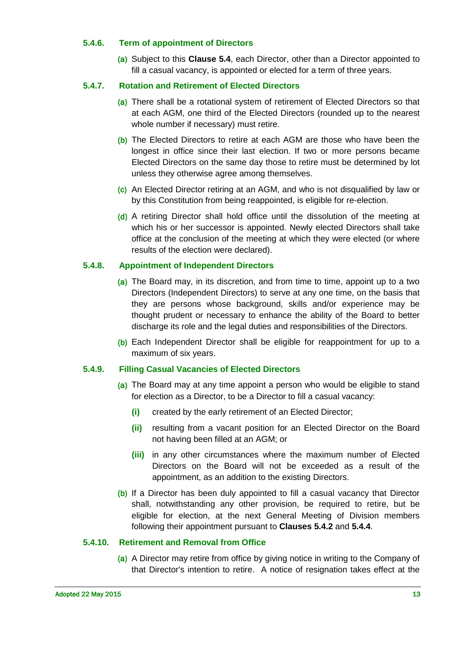#### **5.4.6. Term of appointment of Directors**

(a) Subject to this **Clause [5.4](#page-10-2)**, each Director, other than a Director appointed to fill a casual vacancy, is appointed or elected for a term of three years.

#### **5.4.7. Rotation and Retirement of Elected Directors**

- (a) There shall be a rotational system of retirement of Elected Directors so that at each AGM, one third of the Elected Directors (rounded up to the nearest whole number if necessary) must retire.
- (b) The Elected Directors to retire at each AGM are those who have been the longest in office since their last election. If two or more persons became Elected Directors on the same day those to retire must be determined by lot unless they otherwise agree among themselves.
- (c) An Elected Director retiring at an AGM, and who is not disqualified by law or by this Constitution from being reappointed, is eligible for re-election.
- (d) A retiring Director shall hold office until the dissolution of the meeting at which his or her successor is appointed. Newly elected Directors shall take office at the conclusion of the meeting at which they were elected (or where results of the election were declared).

#### <span id="page-12-0"></span>**5.4.8. Appointment of Independent Directors**

- (a) The Board may, in its discretion, and from time to time, appoint up to a two Directors (Independent Directors) to serve at any one time, on the basis that they are persons whose background, skills and/or experience may be thought prudent or necessary to enhance the ability of the Board to better discharge its role and the legal duties and responsibilities of the Directors.
- (b) Each Independent Director shall be eligible for reappointment for up to a maximum of six years.

#### **5.4.9. Filling Casual Vacancies of Elected Directors**

- (a) The Board may at any time appoint a person who would be eligible to stand for election as a Director, to be a Director to fill a casual vacancy:
	- **(i)** created by the early retirement of an Elected Director;
	- **(ii)** resulting from a vacant position for an Elected Director on the Board not having been filled at an AGM; or
	- **(iii)** in any other circumstances where the maximum number of Elected Directors on the Board will not be exceeded as a result of the appointment, as an addition to the existing Directors.
- (b) If a Director has been duly appointed to fill a casual vacancy that Director shall, notwithstanding any other provision, be required to retire, but be eligible for election, at the next General Meeting of Division members following their appointment pursuant to **Clauses [5.4.2](#page-11-1)** and **[5.4.4](#page-11-0)**.

#### **5.4.10. Retirement and Removal from Office**

(a) A Director may retire from office by giving notice in writing to the Company of that Director's intention to retire. A notice of resignation takes effect at the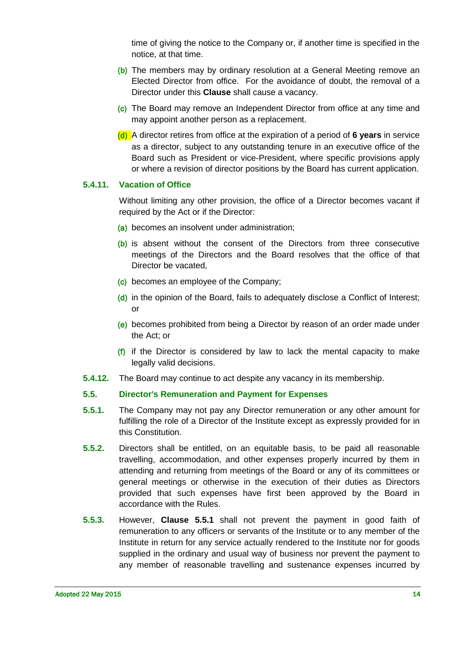time of giving the notice to the Company or, if another time is specified in the notice, at that time.

- (b) The members may by ordinary resolution at a General Meeting remove an Elected Director from office. For the avoidance of doubt, the removal of a Director under this **Clause** shall cause a vacancy.
- (c) The Board may remove an Independent Director from office at any time and may appoint another person as a replacement.
- (d) A director retires from office at the expiration of a period of **6 years** in service as a director, subject to any outstanding tenure in an executive office of the Board such as President or vice-President, where specific provisions apply or where a revision of director positions by the Board has current application.

#### **5.4.11. Vacation of Office**

Without limiting any other provision, the office of a Director becomes vacant if required by the Act or if the Director:

- (a) becomes an insolvent under administration;
- (b) is absent without the consent of the Directors from three consecutive meetings of the Directors and the Board resolves that the office of that Director be vacated,
- (c) becomes an employee of the Company;
- (d) in the opinion of the Board, fails to adequately disclose a Conflict of Interest; or
- (e) becomes prohibited from being a Director by reason of an order made under the Act; or
- (f) if the Director is considered by law to lack the mental capacity to make legally valid decisions.
- **5.4.12.** The Board may continue to act despite any vacancy in its membership.

#### <span id="page-13-0"></span>**5.5. Director's Remuneration and Payment for Expenses**

- <span id="page-13-1"></span>**5.5.1.** The Company may not pay any Director remuneration or any other amount for fulfilling the role of a Director of the Institute except as expressly provided for in this Constitution.
- **5.5.2.** Directors shall be entitled, on an equitable basis, to be paid all reasonable travelling, accommodation, and other expenses properly incurred by them in attending and returning from meetings of the Board or any of its committees or general meetings or otherwise in the execution of their duties as Directors provided that such expenses have first been approved by the Board in accordance with the Rules.
- **5.5.3.** However, **Clause [5.5.1](#page-13-1)** shall not prevent the payment in good faith of remuneration to any officers or servants of the Institute or to any member of the Institute in return for any service actually rendered to the Institute nor for goods supplied in the ordinary and usual way of business nor prevent the payment to any member of reasonable travelling and sustenance expenses incurred by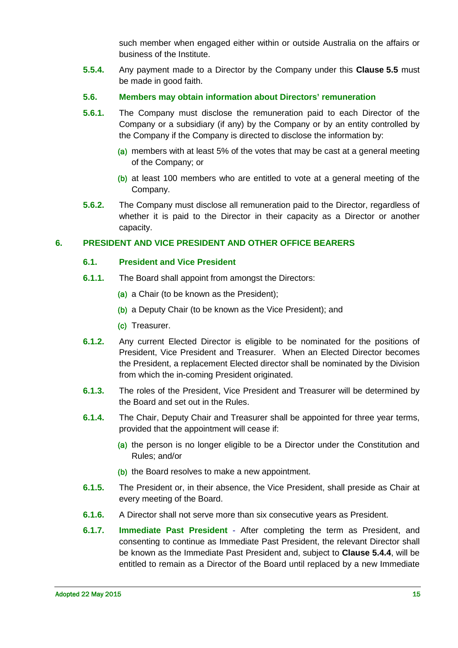such member when engaged either within or outside Australia on the affairs or business of the Institute.

- **5.5.4.** Any payment made to a Director by the Company under this **Clause [5.5](#page-13-0)** must be made in good faith.
- <span id="page-14-0"></span>**5.6. Members may obtain information about Directors' remuneration**
- **5.6.1.** The Company must disclose the remuneration paid to each Director of the Company or a subsidiary (if any) by the Company or by an entity controlled by the Company if the Company is directed to disclose the information by:
	- (a) members with at least 5% of the votes that may be cast at a general meeting of the Company; or
	- (b) at least 100 members who are entitled to vote at a general meeting of the Company.
- **5.6.2.** The Company must disclose all remuneration paid to the Director, regardless of whether it is paid to the Director in their capacity as a Director or another capacity.

#### <span id="page-14-2"></span><span id="page-14-1"></span>**6. PRESIDENT AND VICE PRESIDENT AND OTHER OFFICE BEARERS**

#### **6.1. President and Vice President**

- **6.1.1.** The Board shall appoint from amongst the Directors:
	- (a) a Chair (to be known as the President):
	- (b) a Deputy Chair (to be known as the Vice President); and
	- (c) Treasurer.
- **6.1.2.** Any current Elected Director is eligible to be nominated for the positions of President, Vice President and Treasurer. When an Elected Director becomes the President, a replacement Elected director shall be nominated by the Division from which the in-coming President originated.
- **6.1.3.** The roles of the President, Vice President and Treasurer will be determined by the Board and set out in the Rules.
- **6.1.4.** The Chair, Deputy Chair and Treasurer shall be appointed for three year terms, provided that the appointment will cease if:
	- (a) the person is no longer eligible to be a Director under the Constitution and Rules; and/or
	- (b) the Board resolves to make a new appointment.
- **6.1.5.** The President or, in their absence, the Vice President, shall preside as Chair at every meeting of the Board.
- **6.1.6.** A Director shall not serve more than six consecutive years as President.
- **6.1.7. Immediate Past President** After completing the term as President, and consenting to continue as Immediate Past President, the relevant Director shall be known as the Immediate Past President and, subject to **Clause [5.4.4](#page-11-0)**, will be entitled to remain as a Director of the Board until replaced by a new Immediate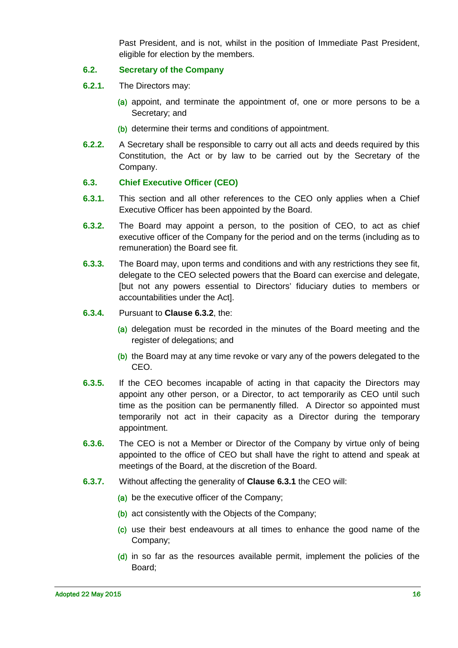Past President, and is not, whilst in the position of Immediate Past President, eligible for election by the members.

#### <span id="page-15-0"></span>**6.2. Secretary of the Company**

- **6.2.1.** The Directors may:
	- (a) appoint, and terminate the appointment of, one or more persons to be a Secretary; and
	- (b) determine their terms and conditions of appointment.
- **6.2.2.** A Secretary shall be responsible to carry out all acts and deeds required by this Constitution, the Act or by law to be carried out by the Secretary of the Company.

#### <span id="page-15-1"></span>**6.3. Chief Executive Officer (CEO)**

- <span id="page-15-3"></span>**6.3.1.** This section and all other references to the CEO only applies when a Chief Executive Officer has been appointed by the Board.
- **6.3.2.** The Board may appoint a person, to the position of CEO, to act as chief executive officer of the Company for the period and on the terms (including as to remuneration) the Board see fit.
- <span id="page-15-2"></span>**6.3.3.** The Board may, upon terms and conditions and with any restrictions they see fit, delegate to the CEO selected powers that the Board can exercise and delegate, [but not any powers essential to Directors' fiduciary duties to members or accountabilities under the Act].
- **6.3.4.** Pursuant to **Clause [6.3.2](#page-15-2)**, the:
	- (a) delegation must be recorded in the minutes of the Board meeting and the register of delegations; and
	- (b) the Board may at any time revoke or vary any of the powers delegated to the CEO.
- **6.3.5.** If the CEO becomes incapable of acting in that capacity the Directors may appoint any other person, or a Director, to act temporarily as CEO until such time as the position can be permanently filled. A Director so appointed must temporarily not act in their capacity as a Director during the temporary appointment.
- **6.3.6.** The CEO is not a Member or Director of the Company by virtue only of being appointed to the office of CEO but shall have the right to attend and speak at meetings of the Board, at the discretion of the Board.
- **6.3.7.** Without affecting the generality of **Clause [6.3.1](#page-15-3)** the CEO will:
	- (a) be the executive officer of the Company;
	- (b) act consistently with the Objects of the Company;
	- (c) use their best endeavours at all times to enhance the good name of the Company;
	- (d) in so far as the resources available permit, implement the policies of the Board;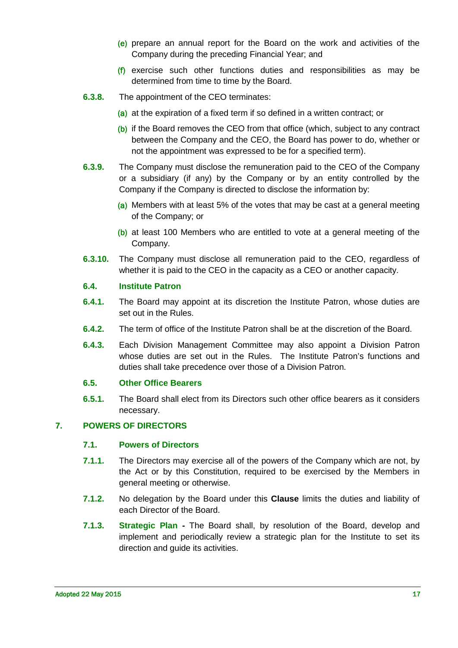- (e) prepare an annual report for the Board on the work and activities of the Company during the preceding Financial Year; and
- (f) exercise such other functions duties and responsibilities as may be determined from time to time by the Board.
- **6.3.8.** The appointment of the CEO terminates:
	- (a) at the expiration of a fixed term if so defined in a written contract; or
	- (b) if the Board removes the CEO from that office (which, subject to any contract between the Company and the CEO, the Board has power to do, whether or not the appointment was expressed to be for a specified term).
- **6.3.9.** The Company must disclose the remuneration paid to the CEO of the Company or a subsidiary (if any) by the Company or by an entity controlled by the Company if the Company is directed to disclose the information by:
	- (a) Members with at least 5% of the votes that may be cast at a general meeting of the Company; or
	- (b) at least 100 Members who are entitled to vote at a general meeting of the Company.
- **6.3.10.** The Company must disclose all remuneration paid to the CEO, regardless of whether it is paid to the CEO in the capacity as a CEO or another capacity.

#### <span id="page-16-0"></span>**6.4. Institute Patron**

- **6.4.1.** The Board may appoint at its discretion the Institute Patron, whose duties are set out in the Rules.
- **6.4.2.** The term of office of the Institute Patron shall be at the discretion of the Board.
- **6.4.3.** Each Division Management Committee may also appoint a Division Patron whose duties are set out in the Rules. The Institute Patron's functions and duties shall take precedence over those of a Division Patron.

#### <span id="page-16-1"></span>**6.5. Other Office Bearers**

**6.5.1.** The Board shall elect from its Directors such other office bearers as it considers necessary.

#### <span id="page-16-3"></span><span id="page-16-2"></span>**7. POWERS OF DIRECTORS**

#### **7.1. Powers of Directors**

- <span id="page-16-4"></span>**7.1.1.** The Directors may exercise all of the powers of the Company which are not, by the Act or by this Constitution, required to be exercised by the Members in general meeting or otherwise.
- **7.1.2.** No delegation by the Board under this **Clause** limits the duties and liability of each Director of the Board.
- **7.1.3. Strategic Plan -** The Board shall, by resolution of the Board, develop and implement and periodically review a strategic plan for the Institute to set its direction and guide its activities.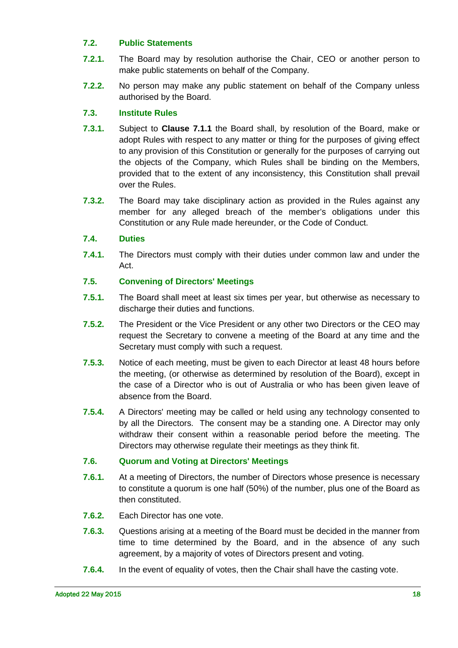# <span id="page-17-0"></span>**7.2. Public Statements**

- **7.2.1.** The Board may by resolution authorise the Chair, CEO or another person to make public statements on behalf of the Company.
- **7.2.2.** No person may make any public statement on behalf of the Company unless authorised by the Board.

# <span id="page-17-1"></span>**7.3. Institute Rules**

- **7.3.1.** Subject to **Clause [7.1.1](#page-16-4)** the Board shall, by resolution of the Board, make or adopt Rules with respect to any matter or thing for the purposes of giving effect to any provision of this Constitution or generally for the purposes of carrying out the objects of the Company, which Rules shall be binding on the Members, provided that to the extent of any inconsistency, this Constitution shall prevail over the Rules.
- **7.3.2.** The Board may take disciplinary action as provided in the Rules against any member for any alleged breach of the member's obligations under this Constitution or any Rule made hereunder, or the Code of Conduct.

# <span id="page-17-2"></span>**7.4. Duties**

**7.4.1.** The Directors must comply with their duties under common law and under the Act.

# <span id="page-17-3"></span>**7.5. Convening of Directors' Meetings**

- **7.5.1.** The Board shall meet at least six times per year, but otherwise as necessary to discharge their duties and functions.
- **7.5.2.** The President or the Vice President or any other two Directors or the CEO may request the Secretary to convene a meeting of the Board at any time and the Secretary must comply with such a request.
- **7.5.3.** Notice of each meeting, must be given to each Director at least 48 hours before the meeting, (or otherwise as determined by resolution of the Board), except in the case of a Director who is out of Australia or who has been given leave of absence from the Board.
- **7.5.4.** A Directors' meeting may be called or held using any technology consented to by all the Directors. The consent may be a standing one. A Director may only withdraw their consent within a reasonable period before the meeting. The Directors may otherwise regulate their meetings as they think fit.

# <span id="page-17-4"></span>**7.6. Quorum and Voting at Directors' Meetings**

- **7.6.1.** At a meeting of Directors, the number of Directors whose presence is necessary to constitute a quorum is one half (50%) of the number, plus one of the Board as then constituted.
- **7.6.2.** Each Director has one vote.
- **7.6.3.** Questions arising at a meeting of the Board must be decided in the manner from time to time determined by the Board, and in the absence of any such agreement, by a majority of votes of Directors present and voting.
- **7.6.4.** In the event of equality of votes, then the Chair shall have the casting vote.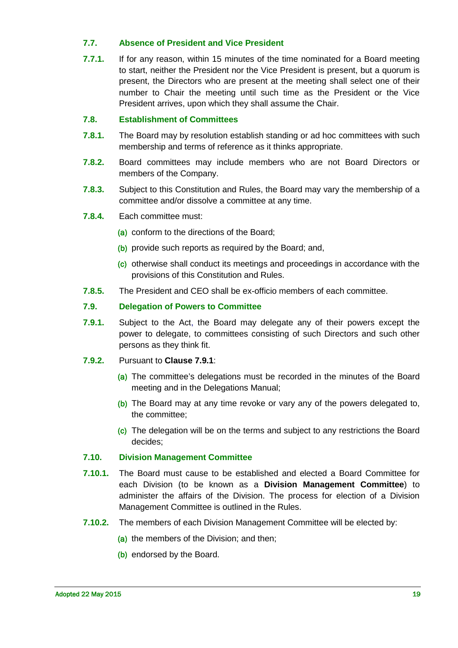### <span id="page-18-0"></span>**7.7. Absence of President and Vice President**

**7.7.1.** If for any reason, within 15 minutes of the time nominated for a Board meeting to start, neither the President nor the Vice President is present, but a quorum is present, the Directors who are present at the meeting shall select one of their number to Chair the meeting until such time as the President or the Vice President arrives, upon which they shall assume the Chair.

#### <span id="page-18-1"></span>**7.8. Establishment of Committees**

- **7.8.1.** The Board may by resolution establish standing or ad hoc committees with such membership and terms of reference as it thinks appropriate.
- **7.8.2.** Board committees may include members who are not Board Directors or members of the Company.
- **7.8.3.** Subject to this Constitution and Rules, the Board may vary the membership of a committee and/or dissolve a committee at any time.
- **7.8.4.** Each committee must:
	- (a) conform to the directions of the Board;
	- (b) provide such reports as required by the Board; and,
	- (c) otherwise shall conduct its meetings and proceedings in accordance with the provisions of this Constitution and Rules.
- **7.8.5.** The President and CEO shall be ex-officio members of each committee.

#### <span id="page-18-2"></span>**7.9. Delegation of Powers to Committee**

- <span id="page-18-4"></span>**7.9.1.** Subject to the Act, the Board may delegate any of their powers except the power to delegate, to committees consisting of such Directors and such other persons as they think fit.
- **7.9.2.** Pursuant to **Clause [7.9.1](#page-18-4)**:
	- (a) The committee's delegations must be recorded in the minutes of the Board meeting and in the Delegations Manual;
	- (b) The Board may at any time revoke or vary any of the powers delegated to, the committee;
	- (c) The delegation will be on the terms and subject to any restrictions the Board decides;

#### <span id="page-18-3"></span>**7.10. Division Management Committee**

- **7.10.1.** The Board must cause to be established and elected a Board Committee for each Division (to be known as a **Division Management Committee**) to administer the affairs of the Division. The process for election of a Division Management Committee is outlined in the Rules.
- **7.10.2.** The members of each Division Management Committee will be elected by:
	- (a) the members of the Division; and then;
	- (b) endorsed by the Board.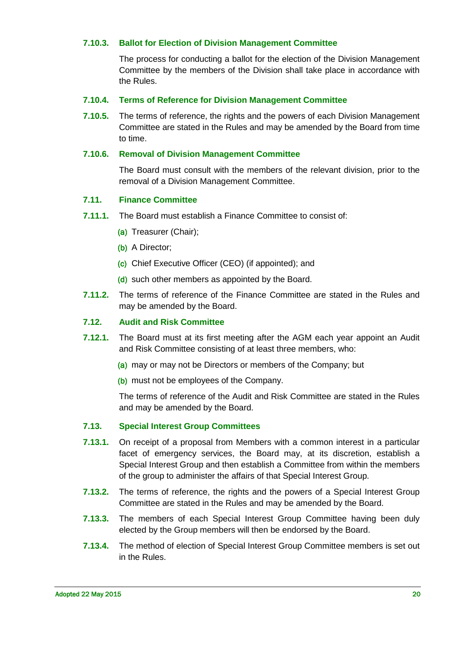#### **7.10.3. Ballot for Election of Division Management Committee**

The process for conducting a ballot for the election of the Division Management Committee by the members of the Division shall take place in accordance with the Rules.

#### **7.10.4. Terms of Reference for Division Management Committee**

**7.10.5.** The terms of reference, the rights and the powers of each Division Management Committee are stated in the Rules and may be amended by the Board from time to time.

#### **7.10.6. Removal of Division Management Committee**

The Board must consult with the members of the relevant division, prior to the removal of a Division Management Committee.

#### <span id="page-19-0"></span>**7.11. Finance Committee**

- **7.11.1.** The Board must establish a Finance Committee to consist of:
	- (a) Treasurer (Chair);
	- (b) A Director;
	- (c) Chief Executive Officer (CEO) (if appointed); and
	- (d) such other members as appointed by the Board.
- **7.11.2.** The terms of reference of the Finance Committee are stated in the Rules and may be amended by the Board.

#### <span id="page-19-1"></span>**7.12. Audit and Risk Committee**

- **7.12.1.** The Board must at its first meeting after the AGM each year appoint an Audit and Risk Committee consisting of at least three members, who:
	- (a) may or may not be Directors or members of the Company; but
	- (b) must not be employees of the Company.

The terms of reference of the Audit and Risk Committee are stated in the Rules and may be amended by the Board.

#### <span id="page-19-2"></span>**7.13. Special Interest Group Committees**

- **7.13.1.** On receipt of a proposal from Members with a common interest in a particular facet of emergency services, the Board may, at its discretion, establish a Special Interest Group and then establish a Committee from within the members of the group to administer the affairs of that Special Interest Group.
- **7.13.2.** The terms of reference, the rights and the powers of a Special Interest Group Committee are stated in the Rules and may be amended by the Board.
- **7.13.3.** The members of each Special Interest Group Committee having been duly elected by the Group members will then be endorsed by the Board.
- **7.13.4.** The method of election of Special Interest Group Committee members is set out in the Rules.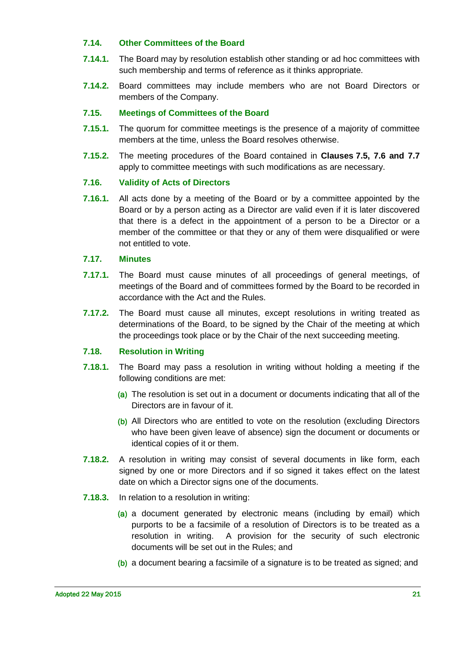#### <span id="page-20-0"></span>**7.14. Other Committees of the Board**

- **7.14.1.** The Board may by resolution establish other standing or ad hoc committees with such membership and terms of reference as it thinks appropriate.
- **7.14.2.** Board committees may include members who are not Board Directors or members of the Company.

#### <span id="page-20-1"></span>**7.15. Meetings of Committees of the Board**

- **7.15.1.** The quorum for committee meetings is the presence of a majority of committee members at the time, unless the Board resolves otherwise.
- **7.15.2.** The meeting procedures of the Board contained in **Clauses [7.5,](#page-17-3) [7.6](#page-17-4) and [7.7](#page-18-0)** apply to committee meetings with such modifications as are necessary.

#### <span id="page-20-2"></span>**7.16. Validity of Acts of Directors**

**7.16.1.** All acts done by a meeting of the Board or by a committee appointed by the Board or by a person acting as a Director are valid even if it is later discovered that there is a defect in the appointment of a person to be a Director or a member of the committee or that they or any of them were disqualified or were not entitled to vote.

#### <span id="page-20-3"></span>**7.17. Minutes**

- **7.17.1.** The Board must cause minutes of all proceedings of general meetings, of meetings of the Board and of committees formed by the Board to be recorded in accordance with the Act and the Rules.
- **7.17.2.** The Board must cause all minutes, except resolutions in writing treated as determinations of the Board, to be signed by the Chair of the meeting at which the proceedings took place or by the Chair of the next succeeding meeting.

#### <span id="page-20-4"></span>**7.18. Resolution in Writing**

- <span id="page-20-5"></span>**7.18.1.** The Board may pass a resolution in writing without holding a meeting if the following conditions are met:
	- (a) The resolution is set out in a document or documents indicating that all of the Directors are in favour of it.
	- (b) All Directors who are entitled to vote on the resolution (excluding Directors who have been given leave of absence) sign the document or documents or identical copies of it or them.
- **7.18.2.** A resolution in writing may consist of several documents in like form, each signed by one or more Directors and if so signed it takes effect on the latest date on which a Director signs one of the documents.
- **7.18.3.** In relation to a resolution in writing:
	- (a) a document generated by electronic means (including by email) which purports to be a facsimile of a resolution of Directors is to be treated as a resolution in writing. A provision for the security of such electronic documents will be set out in the Rules; and
	- (b) a document bearing a facsimile of a signature is to be treated as signed; and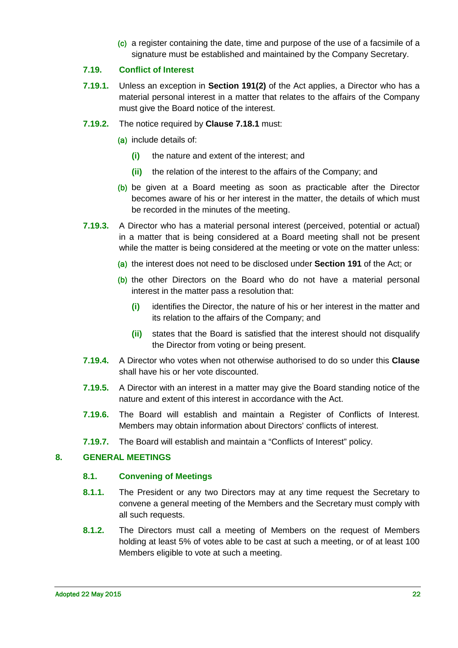(c) a register containing the date, time and purpose of the use of a facsimile of a signature must be established and maintained by the Company Secretary.

#### <span id="page-21-0"></span>**7.19. Conflict of Interest**

- **7.19.1.** Unless an exception in **Section 191(2)** of the Act applies, a Director who has a material personal interest in a matter that relates to the affairs of the Company must give the Board notice of the interest.
- **7.19.2.** The notice required by **Clause [7.18.1](#page-20-5)** must:
	- (a) include details of:
		- **(i)** the nature and extent of the interest; and
		- **(ii)** the relation of the interest to the affairs of the Company; and
	- (b) be given at a Board meeting as soon as practicable after the Director becomes aware of his or her interest in the matter, the details of which must be recorded in the minutes of the meeting.
- **7.19.3.** A Director who has a material personal interest (perceived, potential or actual) in a matter that is being considered at a Board meeting shall not be present while the matter is being considered at the meeting or vote on the matter unless:
	- (a) the interest does not need to be disclosed under **Section 191** of the Act; or
	- (b) the other Directors on the Board who do not have a material personal interest in the matter pass a resolution that:
		- **(i)** identifies the Director, the nature of his or her interest in the matter and its relation to the affairs of the Company; and
		- **(ii)** states that the Board is satisfied that the interest should not disqualify the Director from voting or being present.
- **7.19.4.** A Director who votes when not otherwise authorised to do so under this **Clause** shall have his or her vote discounted.
- **7.19.5.** A Director with an interest in a matter may give the Board standing notice of the nature and extent of this interest in accordance with the Act.
- **7.19.6.** The Board will establish and maintain a Register of Conflicts of Interest. Members may obtain information about Directors' conflicts of interest.
- **7.19.7.** The Board will establish and maintain a "Conflicts of Interest" policy.

#### <span id="page-21-2"></span><span id="page-21-1"></span>**8. GENERAL MEETINGS**

#### **8.1. Convening of Meetings**

- **8.1.1.** The President or any two Directors may at any time request the Secretary to convene a general meeting of the Members and the Secretary must comply with all such requests.
- **8.1.2.** The Directors must call a meeting of Members on the request of Members holding at least 5% of votes able to be cast at such a meeting, or of at least 100 Members eligible to vote at such a meeting.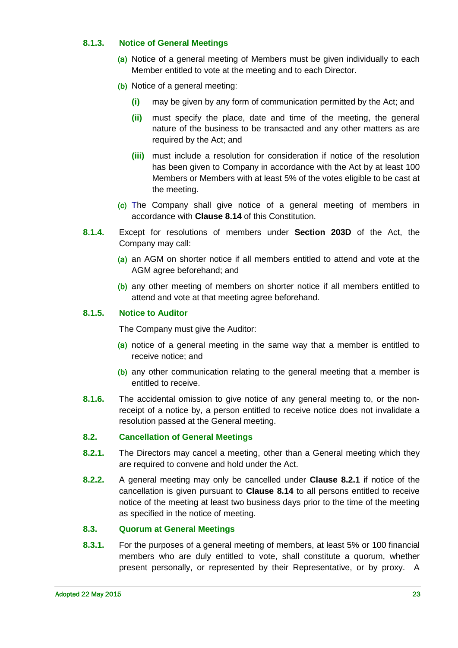### <span id="page-22-3"></span>**8.1.3. Notice of General Meetings**

- (a) Notice of a general meeting of Members must be given individually to each Member entitled to vote at the meeting and to each Director.
- (b) Notice of a general meeting:
	- **(i)** may be given by any form of communication permitted by the Act; and
	- **(ii)** must specify the place, date and time of the meeting, the general nature of the business to be transacted and any other matters as are required by the Act; and
	- **(iii)** must include a resolution for consideration if notice of the resolution has been given to Company in accordance with the Act by at least 100 Members or Members with at least 5% of the votes eligible to be cast at the meeting.
- (c) The Company shall give notice of a general meeting of members in accordance with **Clause [8.14](#page-26-1)** of this Constitution.
- <span id="page-22-4"></span>**8.1.4.** Except for resolutions of members under **Section 203D** of the Act, the Company may call:
	- (a) an AGM on shorter notice if all members entitled to attend and vote at the AGM agree beforehand; and
	- (b) any other meeting of members on shorter notice if all members entitled to attend and vote at that meeting agree beforehand.

#### <span id="page-22-5"></span>**8.1.5. Notice to Auditor**

The Company must give the Auditor:

- (a) notice of a general meeting in the same way that a member is entitled to receive notice; and
- (b) any other communication relating to the general meeting that a member is entitled to receive.
- **8.1.6.** The accidental omission to give notice of any general meeting to, or the nonreceipt of a notice by, a person entitled to receive notice does not invalidate a resolution passed at the General meeting.

#### <span id="page-22-0"></span>**8.2. Cancellation of General Meetings**

- <span id="page-22-2"></span>**8.2.1.** The Directors may cancel a meeting, other than a General meeting which they are required to convene and hold under the Act.
- **8.2.2.** A general meeting may only be cancelled under **Clause [8.2.1](#page-22-2)** if notice of the cancellation is given pursuant to **Clause [8.14](#page-26-1)** to all persons entitled to receive notice of the meeting at least two business days prior to the time of the meeting as specified in the notice of meeting.

#### <span id="page-22-1"></span>**8.3. Quorum at General Meetings**

**8.3.1.** For the purposes of a general meeting of members, at least 5% or 100 financial members who are duly entitled to vote, shall constitute a quorum, whether present personally, or represented by their Representative, or by proxy. A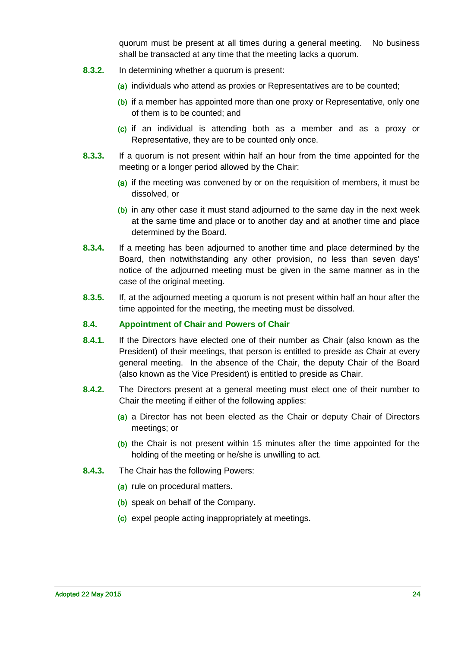quorum must be present at all times during a general meeting. No business shall be transacted at any time that the meeting lacks a quorum.

- **8.3.2.** In determining whether a quorum is present:
	- (a) individuals who attend as proxies or Representatives are to be counted;
	- (b) if a member has appointed more than one proxy or Representative, only one of them is to be counted; and
	- (c) if an individual is attending both as a member and as a proxy or Representative, they are to be counted only once.
- **8.3.3.** If a quorum is not present within half an hour from the time appointed for the meeting or a longer period allowed by the Chair:
	- (a) if the meeting was convened by or on the requisition of members, it must be dissolved, or
	- (b) in any other case it must stand adjourned to the same day in the next week at the same time and place or to another day and at another time and place determined by the Board.
- **8.3.4.** If a meeting has been adjourned to another time and place determined by the Board, then notwithstanding any other provision, no less than seven days' notice of the adjourned meeting must be given in the same manner as in the case of the original meeting.
- **8.3.5.** If, at the adjourned meeting a quorum is not present within half an hour after the time appointed for the meeting, the meeting must be dissolved.

#### <span id="page-23-0"></span>**8.4. Appointment of Chair and Powers of Chair**

- **8.4.1.** If the Directors have elected one of their number as Chair (also known as the President) of their meetings, that person is entitled to preside as Chair at every general meeting. In the absence of the Chair, the deputy Chair of the Board (also known as the Vice President) is entitled to preside as Chair.
- **8.4.2.** The Directors present at a general meeting must elect one of their number to Chair the meeting if either of the following applies:
	- (a) a Director has not been elected as the Chair or deputy Chair of Directors meetings; or
	- (b) the Chair is not present within 15 minutes after the time appointed for the holding of the meeting or he/she is unwilling to act.
- **8.4.3.** The Chair has the following Powers:
	- (a) rule on procedural matters.
	- (b) speak on behalf of the Company.
	- (c) expel people acting inappropriately at meetings.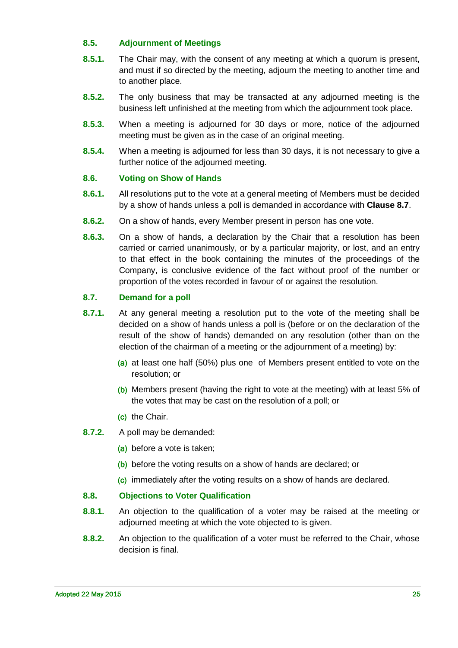# <span id="page-24-0"></span>**8.5. Adjournment of Meetings**

- **8.5.1.** The Chair may, with the consent of any meeting at which a quorum is present, and must if so directed by the meeting, adjourn the meeting to another time and to another place.
- **8.5.2.** The only business that may be transacted at any adjourned meeting is the business left unfinished at the meeting from which the adjournment took place.
- **8.5.3.** When a meeting is adjourned for 30 days or more, notice of the adjourned meeting must be given as in the case of an original meeting.
- **8.5.4.** When a meeting is adjourned for less than 30 days, it is not necessary to give a further notice of the adjourned meeting.

#### <span id="page-24-1"></span>**8.6. Voting on Show of Hands**

- **8.6.1.** All resolutions put to the vote at a general meeting of Members must be decided by a show of hands unless a poll is demanded in accordance with **Clause [8.7](#page-24-2)**.
- **8.6.2.** On a show of hands, every Member present in person has one vote.
- **8.6.3.** On a show of hands, a declaration by the Chair that a resolution has been carried or carried unanimously, or by a particular majority, or lost, and an entry to that effect in the book containing the minutes of the proceedings of the Company, is conclusive evidence of the fact without proof of the number or proportion of the votes recorded in favour of or against the resolution.

#### <span id="page-24-2"></span>**8.7. Demand for a poll**

- **8.7.1.** At any general meeting a resolution put to the vote of the meeting shall be decided on a show of hands unless a poll is (before or on the declaration of the result of the show of hands) demanded on any resolution (other than on the election of the chairman of a meeting or the adjournment of a meeting) by:
	- (a) at least one half (50%) plus one of Members present entitled to vote on the resolution; or
	- (b) Members present (having the right to vote at the meeting) with at least 5% of the votes that may be cast on the resolution of a poll; or
	- (c) the Chair.
- **8.7.2.** A poll may be demanded:
	- (a) before a vote is taken;
	- (b) before the voting results on a show of hands are declared; or
	- (c) immediately after the voting results on a show of hands are declared.

# <span id="page-24-3"></span>**8.8. Objections to Voter Qualification**

- **8.8.1.** An objection to the qualification of a voter may be raised at the meeting or adjourned meeting at which the vote objected to is given.
- **8.8.2.** An objection to the qualification of a voter must be referred to the Chair, whose decision is final.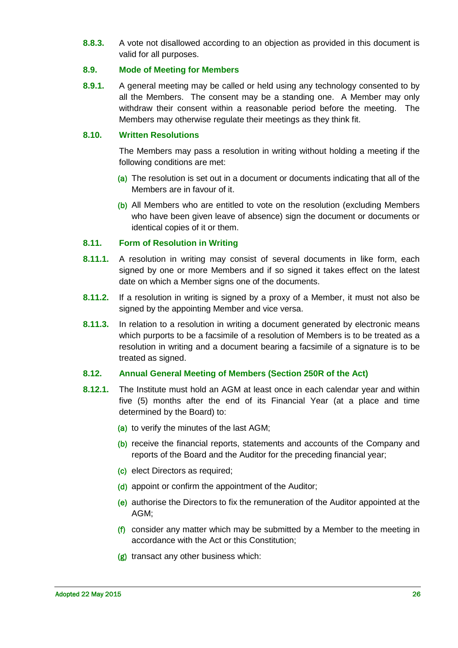**8.8.3.** A vote not disallowed according to an objection as provided in this document is valid for all purposes.

#### <span id="page-25-0"></span>**8.9. Mode of Meeting for Members**

**8.9.1.** A general meeting may be called or held using any technology consented to by all the Members. The consent may be a standing one. A Member may only withdraw their consent within a reasonable period before the meeting. The Members may otherwise regulate their meetings as they think fit.

#### <span id="page-25-1"></span>**8.10. Written Resolutions**

The Members may pass a resolution in writing without holding a meeting if the following conditions are met:

- (a) The resolution is set out in a document or documents indicating that all of the Members are in favour of it.
- (b) All Members who are entitled to vote on the resolution (excluding Members who have been given leave of absence) sign the document or documents or identical copies of it or them.

#### <span id="page-25-2"></span>**8.11. Form of Resolution in Writing**

- **8.11.1.** A resolution in writing may consist of several documents in like form, each signed by one or more Members and if so signed it takes effect on the latest date on which a Member signs one of the documents.
- **8.11.2.** If a resolution in writing is signed by a proxy of a Member, it must not also be signed by the appointing Member and vice versa.
- **8.11.3.** In relation to a resolution in writing a document generated by electronic means which purports to be a facsimile of a resolution of Members is to be treated as a resolution in writing and a document bearing a facsimile of a signature is to be treated as signed.

# <span id="page-25-3"></span>**8.12. Annual General Meeting of Members (Section 250R of the Act)**

- **8.12.1.** The Institute must hold an AGM at least once in each calendar year and within five (5) months after the end of its Financial Year (at a place and time determined by the Board) to:
	- (a) to verify the minutes of the last AGM;
	- (b) receive the financial reports, statements and accounts of the Company and reports of the Board and the Auditor for the preceding financial year;
	- (c) elect Directors as required;
	- (d) appoint or confirm the appointment of the Auditor;
	- (e) authorise the Directors to fix the remuneration of the Auditor appointed at the AGM;
	- (f) consider any matter which may be submitted by a Member to the meeting in accordance with the Act or this Constitution;
	- (g) transact any other business which: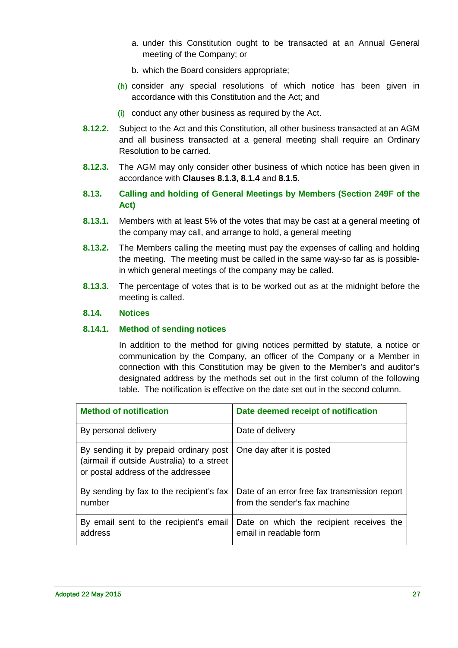- a. under this Constitution ought to be transacted at an Annual General meeting of the Company; or
- b. which the Board considers appropriate;
- (h) consider any special resolutions of which notice has been given in accordance with this Constitution and the Act; and
- (i) conduct any other business as required by the Act.
- **8.12.2.** Subject to the Act and this Constitution, all other business transacted at an AGM and all business transacted at a general meeting shall require an Ordinary Resolution to be carried.
- **8.12.3.** The AGM may only consider other business of which notice has been given in accordance with **Clauses [8.1.3,](#page-22-3) [8.1.4](#page-22-4)** and **[8.1.5](#page-22-5)**.
- <span id="page-26-0"></span>**8.13. Calling and holding of General Meetings by Members (Section 249F of the Act)**
- **8.13.1.** [Members](http://www.austlii.edu.au/au/legis/cth/consol_act/ca2001172/s9.html#member) with at least 5% of the votes that may be cast at a general meeting of the [company](http://www.austlii.edu.au/au/legis/cth/consol_act/ca2001172/s9.html#company) may call, and arrange to [hold,](http://www.austlii.edu.au/au/legis/cth/consol_act/ca2001172/s9.html#hold) a general meeting
- **8.13.2.** The [Members](http://www.austlii.edu.au/au/legis/cth/consol_act/ca2001172/s9.html#member) calling the meeting must pay the expenses of calling and [holding](http://www.austlii.edu.au/au/legis/cth/consol_act/ca2001172/s9.html#hold) the meeting. The meeting must be called in the same way-so far as is possiblein which general meetings of the [company](http://www.austlii.edu.au/au/legis/cth/consol_act/ca2001172/s9.html#company) may be called.
- **8.13.3.** The percentage of votes that is to be worked out as at the midnight before the meeting is called.

#### <span id="page-26-1"></span>**8.14. Notices**

#### <span id="page-26-2"></span>**8.14.1. Method of sending notices**

In addition to the method for giving notices permitted by statute, a notice or communication by the Company, an officer of the Company or a Member in connection with this Constitution may be given to the Member's and auditor's designated address by the methods set out in the first column of the following table. The notification is effective on the date set out in the second column.

| <b>Method of notification</b>                                                                                              | Date deemed receipt of notification                                            |
|----------------------------------------------------------------------------------------------------------------------------|--------------------------------------------------------------------------------|
| By personal delivery                                                                                                       | Date of delivery                                                               |
| By sending it by prepaid ordinary post<br>(airmail if outside Australia) to a street<br>or postal address of the addressee | One day after it is posted                                                     |
| By sending by fax to the recipient's fax<br>number                                                                         | Date of an error free fax transmission report<br>from the sender's fax machine |
| By email sent to the recipient's email<br>address                                                                          | Date on which the recipient receives the<br>email in readable form             |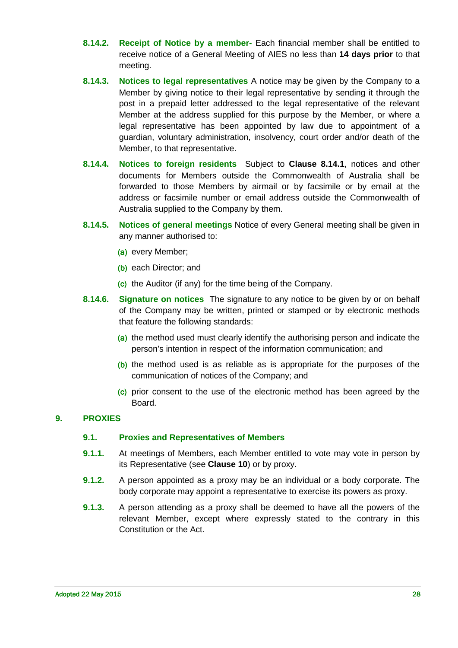- **8.14.2. Receipt of Notice by a member-** Each financial member shall be entitled to receive notice of a General Meeting of AIES no less than **14 days prior** to that meeting.
- **8.14.3. Notices to legal representatives** A notice may be given by the Company to a Member by giving notice to their legal representative by sending it through the post in a prepaid letter addressed to the legal representative of the relevant Member at the address supplied for this purpose by the Member, or where a legal representative has been appointed by law due to appointment of a guardian, voluntary administration, insolvency, court order and/or death of the Member, to that representative.
- **8.14.4. Notices to foreign residents** Subject to **Clause [8.14.1](#page-26-2)**, notices and other documents for Members outside the Commonwealth of Australia shall be forwarded to those Members by airmail or by facsimile or by email at the address or facsimile number or email address outside the Commonwealth of Australia supplied to the Company by them.
- **8.14.5. Notices of general meetings** Notice of every General meeting shall be given in any manner authorised to:
	- (a) every Member;
	- (b) each Director; and
	- (c) the Auditor (if any) for the time being of the Company.
- **8.14.6. Signature on notices** The signature to any notice to be given by or on behalf of the Company may be written, printed or stamped or by electronic methods that feature the following standards:
	- (a) the method used must clearly identify the authorising person and indicate the person's intention in respect of the information communication; and
	- (b) the method used is as reliable as is appropriate for the purposes of the communication of notices of the Company; and
	- (c) prior consent to the use of the electronic method has been agreed by the Board.

# <span id="page-27-1"></span><span id="page-27-0"></span>**9. PROXIES**

#### **9.1. Proxies and Representatives of Members**

- **9.1.1.** At meetings of Members, each Member entitled to vote may vote in person by its Representative (see **Clause [10](#page-29-1)**) or by proxy.
- **9.1.2.** A person appointed as a proxy may be an individual or a body corporate. The body corporate may appoint a representative to exercise its powers as proxy.
- **9.1.3.** A person attending as a proxy shall be deemed to have all the powers of the relevant Member, except where expressly stated to the contrary in this Constitution or the Act.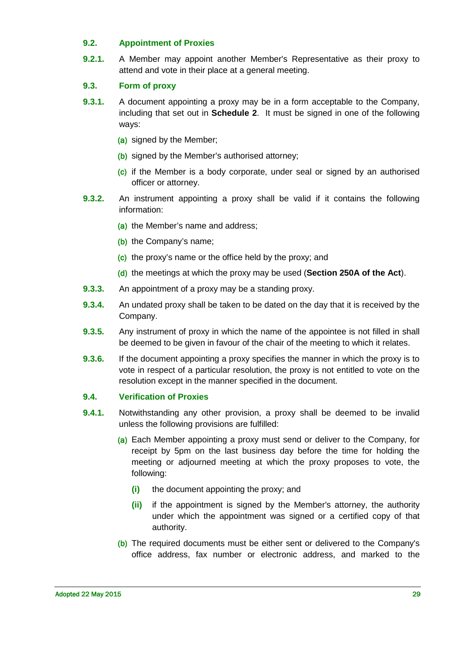## <span id="page-28-0"></span>**9.2. Appointment of Proxies**

**9.2.1.** A Member may appoint another Member's Representative as their proxy to attend and vote in their place at a general meeting.

# <span id="page-28-1"></span>**9.3. Form of proxy**

- **9.3.1.** A document appointing a proxy may be in a form acceptable to the Company, including that set out in **Schedule 2**. It must be signed in one of the following ways:
	- (a) signed by the Member;
	- (b) signed by the Member's authorised attorney;
	- (c) if the Member is a body corporate, under seal or signed by an authorised officer or attorney.
- **9.3.2.** An instrument appointing a proxy shall be valid if it contains the following information:
	- (a) the Member's name and address;
	- (b) the Company's name;
	- (c) the proxy's name or the office held by the proxy; and
	- (d) the meetings at which the proxy may be used (**Section 250A of the Act**).
- **9.3.3.** An appointment of a proxy may be a standing proxy.
- **9.3.4.** An undated proxy shall be taken to be dated on the day that it is received by the Company.
- **9.3.5.** Any instrument of proxy in which the name of the appointee is not filled in shall be deemed to be given in favour of the chair of the meeting to which it relates.
- **9.3.6.** If the document appointing a proxy specifies the manner in which the proxy is to vote in respect of a particular resolution, the proxy is not entitled to vote on the resolution except in the manner specified in the document.

#### <span id="page-28-2"></span>**9.4. Verification of Proxies**

- **9.4.1.** Notwithstanding any other provision, a proxy shall be deemed to be invalid unless the following provisions are fulfilled:
	- (a) Each Member appointing a proxy must send or deliver to the Company, for receipt by 5pm on the last business day before the time for holding the meeting or adjourned meeting at which the proxy proposes to vote, the following:
		- **(i)** the document appointing the proxy; and
		- **(ii)** if the appointment is signed by the Member's attorney, the authority under which the appointment was signed or a certified copy of that authority.
	- (b) The required documents must be either sent or delivered to the Company's office address, fax number or electronic address, and marked to the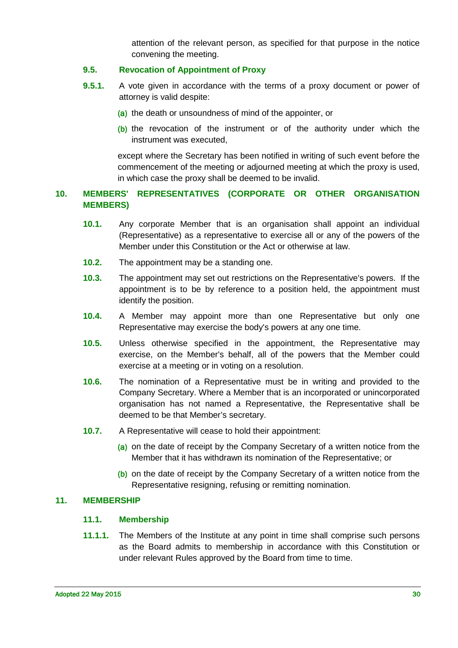attention of the relevant person, as specified for that purpose in the notice convening the meeting.

#### <span id="page-29-0"></span>**9.5. Revocation of Appointment of Proxy**

- **9.5.1.** A vote given in accordance with the terms of a proxy document or power of attorney is valid despite:
	- (a) the death or unsoundness of mind of the appointer, or
	- (b) the revocation of the instrument or of the authority under which the instrument was executed,

except where the Secretary has been notified in writing of such event before the commencement of the meeting or adjourned meeting at which the proxy is used, in which case the proxy shall be deemed to be invalid.

## <span id="page-29-1"></span>**10. MEMBERS' REPRESENTATIVES (CORPORATE OR OTHER ORGANISATION MEMBERS)**

- **10.1.** Any corporate Member that is an organisation shall appoint an individual (Representative) as a representative to exercise all or any of the powers of the Member under this Constitution or the Act or otherwise at law.
- **10.2.** The appointment may be a standing one.
- **10.3.** The appointment may set out restrictions on the Representative's powers. If the appointment is to be by reference to a position held, the appointment must identify the position.
- **10.4.** A Member may appoint more than one Representative but only one Representative may exercise the body's powers at any one time.
- **10.5.** Unless otherwise specified in the appointment, the Representative may exercise, on the Member's behalf, all of the powers that the Member could exercise at a meeting or in voting on a resolution.
- **10.6.** The nomination of a Representative must be in writing and provided to the Company Secretary. Where a Member that is an incorporated or unincorporated organisation has not named a Representative, the Representative shall be deemed to be that Member's secretary.
- **10.7.** A Representative will cease to hold their appointment:
	- (a) on the date of receipt by the Company Secretary of a written notice from the Member that it has withdrawn its nomination of the Representative; or
	- (b) on the date of receipt by the Company Secretary of a written notice from the Representative resigning, refusing or remitting nomination.

#### <span id="page-29-3"></span><span id="page-29-2"></span>**11. MEMBERSHIP**

#### **11.1. Membership**

**11.1.1.** The Members of the Institute at any point in time shall comprise such persons as the Board admits to membership in accordance with this Constitution or under relevant Rules approved by the Board from time to time.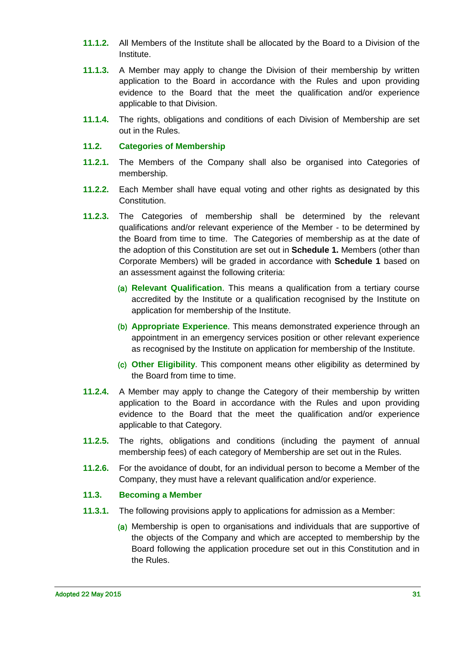- **11.1.2.** All Members of the Institute shall be allocated by the Board to a Division of the Institute.
- **11.1.3.** A Member may apply to change the Division of their membership by written application to the Board in accordance with the Rules and upon providing evidence to the Board that the meet the qualification and/or experience applicable to that Division.
- **11.1.4.** The rights, obligations and conditions of each Division of Membership are set out in the Rules.

#### <span id="page-30-0"></span>**11.2. Categories of Membership**

- **11.2.1.** The Members of the Company shall also be organised into Categories of membership.
- **11.2.2.** Each Member shall have equal voting and other rights as designated by this Constitution.
- **11.2.3.** The Categories of membership shall be determined by the relevant qualifications and/or relevant experience of the Member - to be determined by the Board from time to time. The Categories of membership as at the date of the adoption of this Constitution are set out in **Schedule 1.** Members (other than Corporate Members) will be graded in accordance with **Schedule 1** based on an assessment against the following criteria:
	- (a) **Relevant Qualification**. This means a qualification from a tertiary course accredited by the Institute or a qualification recognised by the Institute on application for membership of the Institute.
	- (b) **Appropriate Experience**. This means demonstrated experience through an appointment in an emergency services position or other relevant experience as recognised by the Institute on application for membership of the Institute.
	- (c) **Other Eligibility**. This component means other eligibility as determined by the Board from time to time.
- **11.2.4.** A Member may apply to change the Category of their membership by written application to the Board in accordance with the Rules and upon providing evidence to the Board that the meet the qualification and/or experience applicable to that Category.
- **11.2.5.** The rights, obligations and conditions (including the payment of annual membership fees) of each category of Membership are set out in the Rules.
- **11.2.6.** For the avoidance of doubt, for an individual person to become a Member of the Company, they must have a relevant qualification and/or experience.

#### <span id="page-30-1"></span>**11.3. Becoming a Member**

- **11.3.1.** The following provisions apply to applications for admission as a Member:
	- (a) Membership is open to organisations and individuals that are supportive of the objects of the Company and which are accepted to membership by the Board following the application procedure set out in this Constitution and in the Rules.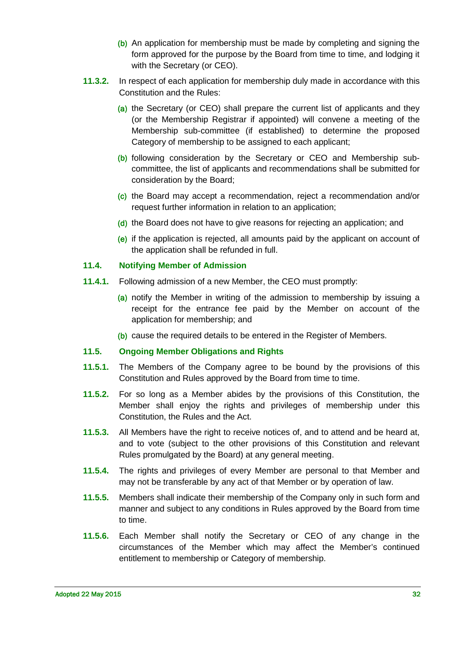- (b) An application for membership must be made by completing and signing the form approved for the purpose by the Board from time to time, and lodging it with the Secretary (or CEO).
- **11.3.2.** In respect of each application for membership duly made in accordance with this Constitution and the Rules:
	- (a) the Secretary (or CEO) shall prepare the current list of applicants and they (or the Membership Registrar if appointed) will convene a meeting of the Membership sub-committee (if established) to determine the proposed Category of membership to be assigned to each applicant;
	- (b) following consideration by the Secretary or CEO and Membership subcommittee, the list of applicants and recommendations shall be submitted for consideration by the Board;
	- (c) the Board may accept a recommendation, reject a recommendation and/or request further information in relation to an application;
	- (d) the Board does not have to give reasons for rejecting an application; and
	- (e) if the application is rejected, all amounts paid by the applicant on account of the application shall be refunded in full.

#### <span id="page-31-0"></span>**11.4. Notifying Member of Admission**

- **11.4.1.** Following admission of a new Member, the CEO must promptly:
	- (a) notify the Member in writing of the admission to membership by issuing a receipt for the entrance fee paid by the Member on account of the application for membership; and
	- (b) cause the required details to be entered in the Register of Members.

#### <span id="page-31-1"></span>**11.5. Ongoing Member Obligations and Rights**

- **11.5.1.** The Members of the Company agree to be bound by the provisions of this Constitution and Rules approved by the Board from time to time.
- **11.5.2.** For so long as a Member abides by the provisions of this Constitution, the Member shall enjoy the rights and privileges of membership under this Constitution, the Rules and the Act.
- **11.5.3.** All Members have the right to receive notices of, and to attend and be heard at, and to vote (subject to the other provisions of this Constitution and relevant Rules promulgated by the Board) at any general meeting.
- **11.5.4.** The rights and privileges of every Member are personal to that Member and may not be transferable by any act of that Member or by operation of law.
- **11.5.5.** Members shall indicate their membership of the Company only in such form and manner and subject to any conditions in Rules approved by the Board from time to time.
- **11.5.6.** Each Member shall notify the Secretary or CEO of any change in the circumstances of the Member which may affect the Member's continued entitlement to membership or Category of membership.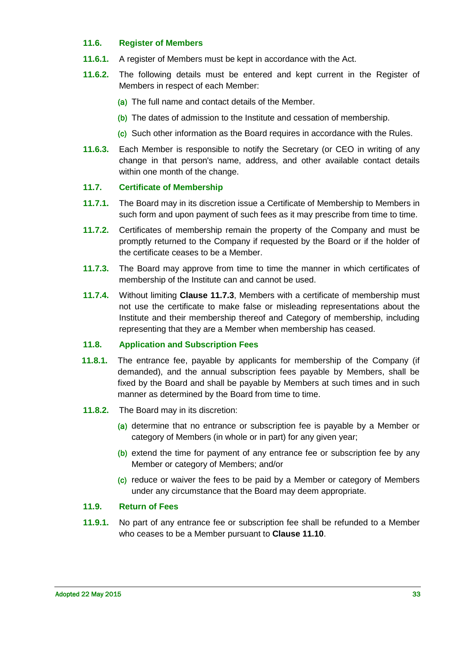#### <span id="page-32-0"></span>**11.6. Register of Members**

- **11.6.1.** A register of Members must be kept in accordance with the Act.
- **11.6.2.** The following details must be entered and kept current in the Register of Members in respect of each Member:
	- (a) The full name and contact details of the Member.
	- (b) The dates of admission to the Institute and cessation of membership.
	- (c) Such other information as the Board requires in accordance with the Rules.
- **11.6.3.** Each Member is responsible to notify the Secretary (or CEO in writing of any change in that person's name, address, and other available contact details within one month of the change.

#### <span id="page-32-1"></span>**11.7. Certificate of Membership**

- **11.7.1.** The Board may in its discretion issue a Certificate of Membership to Members in such form and upon payment of such fees as it may prescribe from time to time.
- **11.7.2.** Certificates of membership remain the property of the Company and must be promptly returned to the Company if requested by the Board or if the holder of the certificate ceases to be a Member.
- <span id="page-32-4"></span>**11.7.3.** The Board may approve from time to time the manner in which certificates of membership of the Institute can and cannot be used.
- **11.7.4.** Without limiting **Clause [11.7.3](#page-32-4)**, Members with a certificate of membership must not use the certificate to make false or misleading representations about the Institute and their membership thereof and Category of membership, including representing that they are a Member when membership has ceased.

# <span id="page-32-2"></span>**11.8. Application and Subscription Fees**

- **11.8.1.** The entrance fee, payable by applicants for membership of the Company (if demanded), and the annual subscription fees payable by Members, shall be fixed by the Board and shall be payable by Members at such times and in such manner as determined by the Board from time to time.
- **11.8.2.** The Board may in its discretion:
	- (a) determine that no entrance or subscription fee is payable by a Member or category of Members (in whole or in part) for any given year;
	- (b) extend the time for payment of any entrance fee or subscription fee by any Member or category of Members; and/or
	- (c) reduce or waiver the fees to be paid by a Member or category of Members under any circumstance that the Board may deem appropriate.

#### <span id="page-32-3"></span>**11.9. Return of Fees**

**11.9.1.** No part of any entrance fee or subscription fee shall be refunded to a Member who ceases to be a Member pursuant to **Clause [11.10](#page-33-0)**.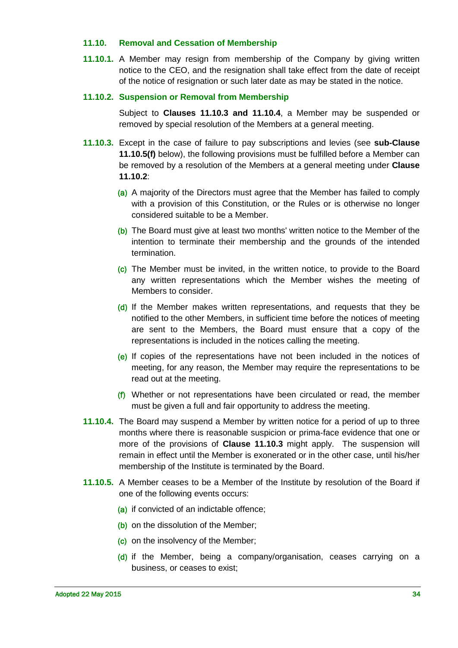#### <span id="page-33-0"></span>**11.10. Removal and Cessation of Membership**

**11.10.1.** A Member may resign from membership of the Company by giving written notice to the CEO, and the resignation shall take effect from the date of receipt of the notice of resignation or such later date as may be stated in the notice.

#### <span id="page-33-3"></span>**11.10.2. Suspension or Removal from Membership**

Subject to **Clauses [11.10.3](#page-33-1) and [11.10.4](#page-33-2)**, a Member may be suspended or removed by special resolution of the Members at a general meeting.

- <span id="page-33-1"></span>**11.10.3.** Except in the case of failure to pay subscriptions and levies (see **sub-Clause 11.10.5(f)** below), the following provisions must be fulfilled before a Member can be removed by a resolution of the Members at a general meeting under **Clause [11.10.2](#page-33-3)**:
	- (a) A majority of the Directors must agree that the Member has failed to comply with a provision of this Constitution, or the Rules or is otherwise no longer considered suitable to be a Member.
	- (b) The Board must give at least two months' written notice to the Member of the intention to terminate their membership and the grounds of the intended termination.
	- (c) The Member must be invited, in the written notice, to provide to the Board any written representations which the Member wishes the meeting of Members to consider.
	- (d) If the Member makes written representations, and requests that they be notified to the other Members, in sufficient time before the notices of meeting are sent to the Members, the Board must ensure that a copy of the representations is included in the notices calling the meeting.
	- (e) If copies of the representations have not been included in the notices of meeting, for any reason, the Member may require the representations to be read out at the meeting.
	- $(f)$  Whether or not representations have been circulated or read, the member must be given a full and fair opportunity to address the meeting.
- <span id="page-33-2"></span>**11.10.4.** The Board may suspend a Member by written notice for a period of up to three months where there is reasonable suspicion or prima-face evidence that one or more of the provisions of **Clause [11.10.3](#page-33-1)** might apply. The suspension will remain in effect until the Member is exonerated or in the other case, until his/her membership of the Institute is terminated by the Board.
- **11.10.5.** A Member ceases to be a Member of the Institute by resolution of the Board if one of the following events occurs:
	- (a) if convicted of an indictable offence;
	- (b) on the dissolution of the Member;
	- (c) on the insolvency of the Member;
	- (d) if the Member, being a company/organisation, ceases carrying on a business, or ceases to exist;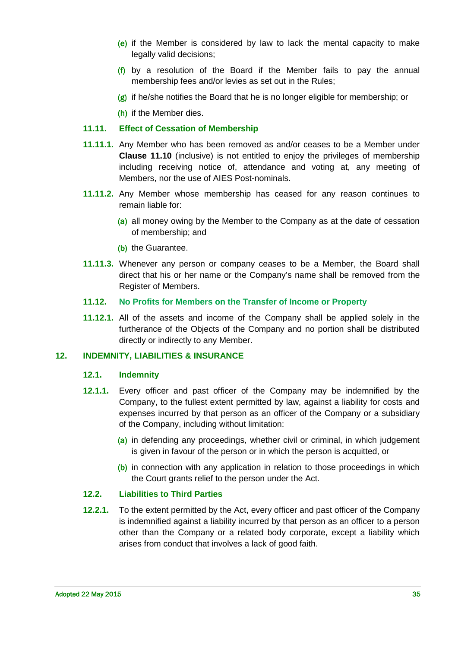- (e) if the Member is considered by law to lack the mental capacity to make legally valid decisions;
- (f) by a resolution of the Board if the Member fails to pay the annual membership fees and/or levies as set out in the Rules;
- $(g)$  if he/she notifies the Board that he is no longer eligible for membership; or

(h) if the Member dies.

## <span id="page-34-0"></span>**11.11. Effect of Cessation of Membership**

- **11.11.1.** Any Member who has been removed as and/or ceases to be a Member under **Clause [11.10](#page-33-0)** (inclusive) is not entitled to enjoy the privileges of membership including receiving notice of, attendance and voting at, any meeting of Members, nor the use of AIES Post-nominals.
- **11.11.2.** Any Member whose membership has ceased for any reason continues to remain liable for:
	- (a) all money owing by the Member to the Company as at the date of cessation of membership; and
	- (b) the Guarantee.
- **11.11.3.** Whenever any person or company ceases to be a Member, the Board shall direct that his or her name or the Company's name shall be removed from the Register of Members.
- <span id="page-34-1"></span>**11.12. No Profits for Members on the Transfer of Income or Property**
- **11.12.1.** All of the assets and income of the Company shall be applied solely in the furtherance of the Objects of the Company and no portion shall be distributed directly or indirectly to any Member.

#### <span id="page-34-3"></span><span id="page-34-2"></span>**12. INDEMNITY, LIABILITIES & INSURANCE**

#### **12.1. Indemnity**

- **12.1.1.** Every officer and past officer of the Company may be indemnified by the Company, to the fullest extent permitted by law, against a liability for costs and expenses incurred by that person as an officer of the Company or a subsidiary of the Company, including without limitation:
	- (a) in defending any proceedings, whether civil or criminal, in which judgement is given in favour of the person or in which the person is acquitted, or
	- (b) in connection with any application in relation to those proceedings in which the Court grants relief to the person under the Act.

# <span id="page-34-4"></span>**12.2. Liabilities to Third Parties**

**12.2.1.** To the extent permitted by the Act, every officer and past officer of the Company is indemnified against a liability incurred by that person as an officer to a person other than the Company or a related body corporate, except a liability which arises from conduct that involves a lack of good faith.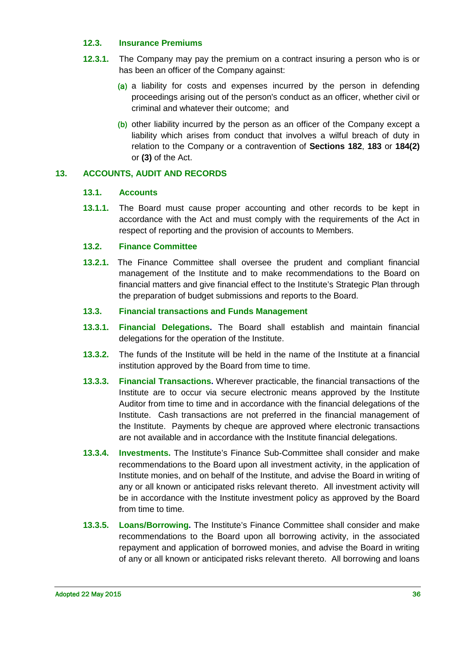#### <span id="page-35-0"></span>**12.3. Insurance Premiums**

- **12.3.1.** The Company may pay the premium on a contract insuring a person who is or has been an officer of the Company against:
	- (a) a liability for costs and expenses incurred by the person in defending proceedings arising out of the person's conduct as an officer, whether civil or criminal and whatever their outcome; and
	- (b) other liability incurred by the person as an officer of the Company except a liability which arises from conduct that involves a wilful breach of duty in relation to the Company or a contravention of **Sections 182**, **183** or **184(2)** or **(3)** of the Act.

# <span id="page-35-2"></span><span id="page-35-1"></span>**13. ACCOUNTS, AUDIT AND RECORDS**

#### **13.1. Accounts**

**13.1.1.** The Board must cause proper accounting and other records to be kept in accordance with the Act and must comply with the requirements of the Act in respect of reporting and the provision of accounts to Members.

#### <span id="page-35-3"></span>**13.2. Finance Committee**

**13.2.1.** The Finance Committee shall oversee the prudent and compliant financial management of the Institute and to make recommendations to the Board on financial matters and give financial effect to the Institute's Strategic Plan through the preparation of budget submissions and reports to the Board.

#### <span id="page-35-4"></span>**13.3. Financial transactions and Funds Management**

- **13.3.1. Financial Delegations.** The Board shall establish and maintain financial delegations for the operation of the Institute.
- **13.3.2.** The funds of the Institute will be held in the name of the Institute at a financial institution approved by the Board from time to time.
- **13.3.3. Financial Transactions.** Wherever practicable, the financial transactions of the Institute are to occur via secure electronic means approved by the Institute Auditor from time to time and in accordance with the financial delegations of the Institute. Cash transactions are not preferred in the financial management of the Institute. Payments by cheque are approved where electronic transactions are not available and in accordance with the Institute financial delegations.
- **13.3.4. Investments.** The Institute's Finance Sub-Committee shall consider and make recommendations to the Board upon all investment activity, in the application of Institute monies, and on behalf of the Institute, and advise the Board in writing of any or all known or anticipated risks relevant thereto. All investment activity will be in accordance with the Institute investment policy as approved by the Board from time to time.
- **13.3.5. Loans/Borrowing.** The Institute's Finance Committee shall consider and make recommendations to the Board upon all borrowing activity, in the associated repayment and application of borrowed monies, and advise the Board in writing of any or all known or anticipated risks relevant thereto. All borrowing and loans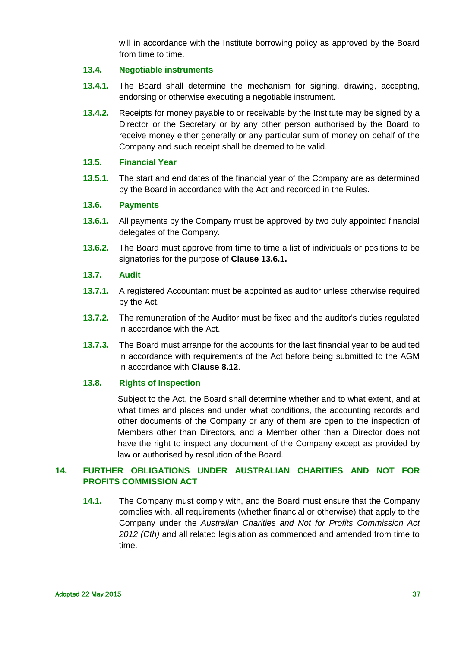will in accordance with the Institute borrowing policy as approved by the Board from time to time.

# <span id="page-36-0"></span>**13.4. Negotiable instruments**

- **13.4.1.** The Board shall determine the mechanism for signing, drawing, accepting, endorsing or otherwise executing a negotiable instrument.
- **13.4.2.** Receipts for money payable to or receivable by the Institute may be signed by a Director or the Secretary or by any other person authorised by the Board to receive money either generally or any particular sum of money on behalf of the Company and such receipt shall be deemed to be valid.

#### <span id="page-36-1"></span>**13.5. Financial Year**

**13.5.1.** The start and end dates of the financial year of the Company are as determined by the Board in accordance with the Act and recorded in the Rules.

#### <span id="page-36-2"></span>**13.6. Payments**

- <span id="page-36-6"></span>**13.6.1.** All payments by the Company must be approved by two duly appointed financial delegates of the Company.
- **13.6.2.** The Board must approve from time to time a list of individuals or positions to be signatories for the purpose of **Clause [13.6.1.](#page-36-6)**

#### <span id="page-36-3"></span>**13.7. Audit**

- **13.7.1.** A registered Accountant must be appointed as auditor unless otherwise required by the Act.
- **13.7.2.** The remuneration of the Auditor must be fixed and the auditor's duties regulated in accordance with the Act.
- **13.7.3.** The Board must arrange for the accounts for the last financial year to be audited in accordance with requirements of the Act before being submitted to the AGM in accordance with **Clause [8.12](#page-25-3)**.

# <span id="page-36-4"></span>**13.8. Rights of Inspection**

Subject to the Act, the Board shall determine whether and to what extent, and at what times and places and under what conditions, the accounting records and other documents of the Company or any of them are open to the inspection of Members other than Directors, and a Member other than a Director does not have the right to inspect any document of the Company except as provided by law or authorised by resolution of the Board.

# <span id="page-36-5"></span>**14. FURTHER OBLIGATIONS UNDER AUSTRALIAN CHARITIES AND NOT FOR PROFITS COMMISSION ACT**

**14.1.** The Company must comply with, and the Board must ensure that the Company complies with, all requirements (whether financial or otherwise) that apply to the Company under the *Australian Charities and Not for Profits Commission Act 2012 (Cth)* and all related legislation as commenced and amended from time to time.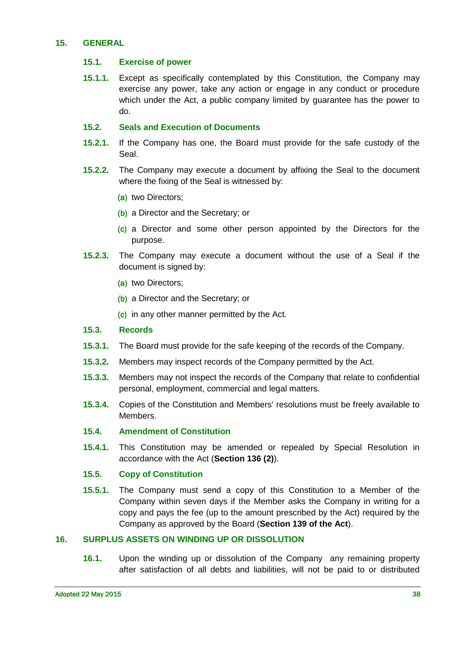#### <span id="page-37-1"></span><span id="page-37-0"></span>**15. GENERAL**

#### **15.1. Exercise of power**

**15.1.1.** Except as specifically contemplated by this Constitution, the Company may exercise any power, take any action or engage in any conduct or procedure which under the Act, a public company limited by guarantee has the power to do.

#### <span id="page-37-2"></span>**15.2. Seals and Execution of Documents**

- **15.2.1.** If the Company has one, the Board must provide for the safe custody of the Seal.
- **15.2.2.** The Company may execute a document by affixing the Seal to the document where the fixing of the Seal is witnessed by:
	- (a) two Directors;
	- (b) a Director and the Secretary; or
	- (c) a Director and some other person appointed by the Directors for the purpose.
- **15.2.3.** The Company may execute a document without the use of a Seal if the document is signed by:
	- (a) two Directors;
	- (b) a Director and the Secretary; or
	- (c) in any other manner permitted by the Act.

#### <span id="page-37-3"></span>**15.3. Records**

- **15.3.1.** The Board must provide for the safe keeping of the records of the Company.
- **15.3.2.** Members may inspect records of the Company permitted by the Act.
- **15.3.3.** Members may not inspect the records of the Company that relate to confidential personal, employment, commercial and legal matters.
- **15.3.4.** Copies of the Constitution and Members' resolutions must be freely available to Members.

#### <span id="page-37-4"></span>**15.4. Amendment of Constitution**

**15.4.1.** This Constitution may be amended or repealed by Special Resolution in accordance with the Act (**Section 136 (2)**).

#### <span id="page-37-5"></span>**15.5. Copy of Constitution**

**15.5.1.** The Company must send a copy of this Constitution to a Member of the Company within seven days if the Member asks the Company in writing for a copy and pays the fee (up to the amount prescribed by the Act) required by the Company as approved by the Board (**Section 139 of the Act**).

#### <span id="page-37-6"></span>**16. SURPLUS ASSETS ON WINDING UP OR DISSOLUTION**

**16.1.** Upon the winding up or dissolution of the Company any remaining property after satisfaction of all debts and liabilities, will not be paid to or distributed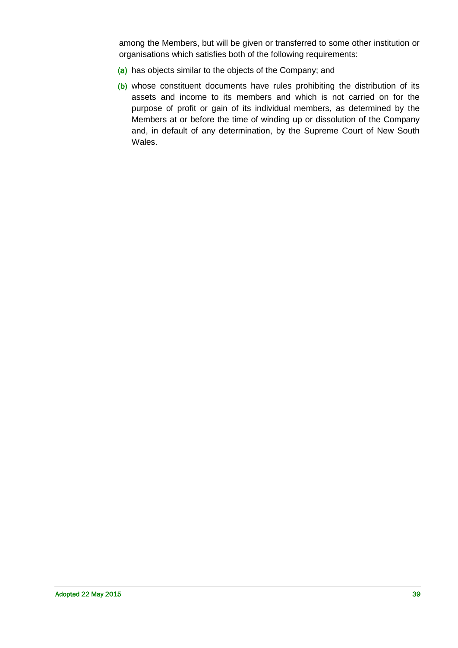among the Members, but will be given or transferred to some other institution or organisations which satisfies both of the following requirements:

- (a) has objects similar to the objects of the Company; and
- (b) whose constituent documents have rules prohibiting the distribution of its assets and income to its members and which is not carried on for the purpose of profit or gain of its individual members, as determined by the Members at or before the time of winding up or dissolution of the Company and, in default of any determination, by the Supreme Court of New South Wales.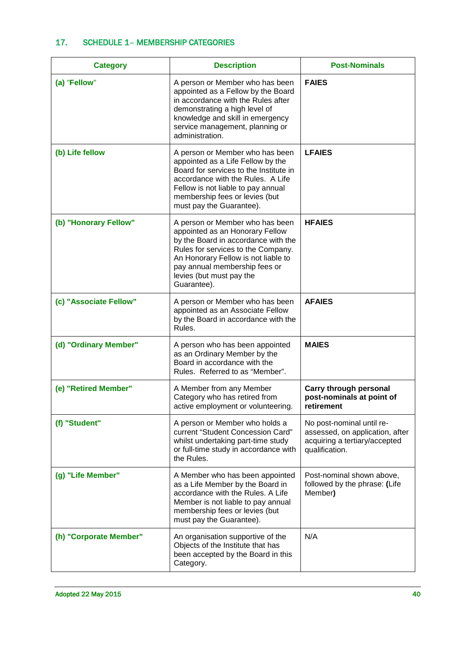# 17. SCHEDULE 1– MEMBERSHIP CATEGORIES

| <b>Category</b>        | <b>Description</b>                                                                                                                                                                                                                                                 | <b>Post-Nominals</b>                                                                                            |
|------------------------|--------------------------------------------------------------------------------------------------------------------------------------------------------------------------------------------------------------------------------------------------------------------|-----------------------------------------------------------------------------------------------------------------|
| (a) "Fellow"           | A person or Member who has been<br>appointed as a Fellow by the Board<br>in accordance with the Rules after<br>demonstrating a high level of<br>knowledge and skill in emergency<br>service management, planning or<br>administration.                             | <b>FAIES</b>                                                                                                    |
| (b) Life fellow        | A person or Member who has been<br>appointed as a Life Fellow by the<br>Board for services to the Institute in<br>accordance with the Rules. A Life<br>Fellow is not liable to pay annual<br>membership fees or levies (but<br>must pay the Guarantee).            | <b>LFAIES</b>                                                                                                   |
| (b) "Honorary Fellow"  | A person or Member who has been<br>appointed as an Honorary Fellow<br>by the Board in accordance with the<br>Rules for services to the Company.<br>An Honorary Fellow is not liable to<br>pay annual membership fees or<br>levies (but must pay the<br>Guarantee). | <b>HFAIES</b>                                                                                                   |
| (c) "Associate Fellow" | A person or Member who has been<br>appointed as an Associate Fellow<br>by the Board in accordance with the<br>Rules.                                                                                                                                               | <b>AFAIES</b>                                                                                                   |
| (d) "Ordinary Member"  | A person who has been appointed<br>as an Ordinary Member by the<br>Board in accordance with the<br>Rules. Referred to as "Member".                                                                                                                                 | <b>MAIES</b>                                                                                                    |
| (e) "Retired Member"   | A Member from any Member<br>Category who has retired from<br>active employment or volunteering.                                                                                                                                                                    | Carry through personal<br>post-nominals at point of<br>retirement                                               |
| (f) "Student"          | A person or Member who holds a<br>current "Student Concession Card"<br>whilst undertaking part-time study<br>or full-time study in accordance with<br>the Rules.                                                                                                   | No post-nominal until re-<br>assessed, on application, after<br>acquiring a tertiary/accepted<br>qualification. |
| (g) "Life Member"      | A Member who has been appointed<br>as a Life Member by the Board in<br>accordance with the Rules. A Life<br>Member is not liable to pay annual<br>membership fees or levies (but<br>must pay the Guarantee).                                                       | Post-nominal shown above,<br>followed by the phrase: (Life<br>Member)                                           |
| (h) "Corporate Member" | An organisation supportive of the<br>Objects of the Institute that has<br>been accepted by the Board in this<br>Category.                                                                                                                                          | N/A                                                                                                             |